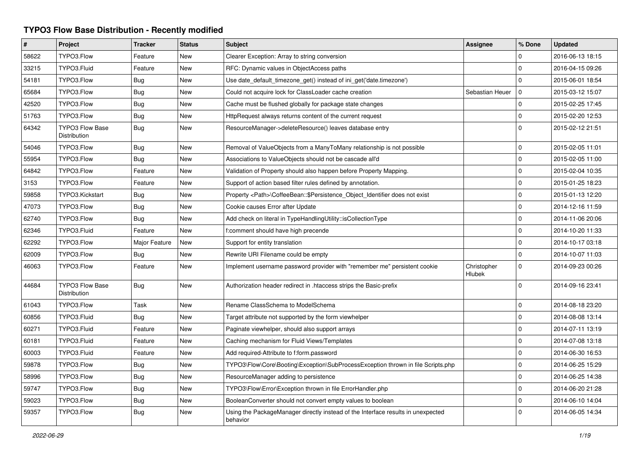## **TYPO3 Flow Base Distribution - Recently modified**

| $\#$  | Project                                       | <b>Tracker</b> | <b>Status</b> | <b>Subject</b>                                                                               | <b>Assignee</b>       | % Done      | <b>Updated</b>   |
|-------|-----------------------------------------------|----------------|---------------|----------------------------------------------------------------------------------------------|-----------------------|-------------|------------------|
| 58622 | TYPO3.Flow                                    | Feature        | <b>New</b>    | Clearer Exception: Array to string conversion                                                |                       | $\Omega$    | 2016-06-13 18:15 |
| 33215 | TYPO3.Fluid                                   | Feature        | <b>New</b>    | RFC: Dynamic values in ObjectAccess paths                                                    |                       | $\Omega$    | 2016-04-15 09:26 |
| 54181 | TYPO3.Flow                                    | Bug            | New           | Use date_default_timezone_get() instead of ini_get('date.timezone')                          |                       | $\Omega$    | 2015-06-01 18:54 |
| 65684 | TYPO3.Flow                                    | <b>Bug</b>     | New           | Could not acquire lock for ClassLoader cache creation                                        | Sebastian Heuer       | $\Omega$    | 2015-03-12 15:07 |
| 42520 | TYPO3.Flow                                    | Bug            | <b>New</b>    | Cache must be flushed globally for package state changes                                     |                       | $\Omega$    | 2015-02-25 17:45 |
| 51763 | TYPO3.Flow                                    | Bug            | New           | HttpRequest always returns content of the current request                                    |                       | $\mathbf 0$ | 2015-02-20 12:53 |
| 64342 | <b>TYPO3 Flow Base</b><br><b>Distribution</b> | <b>Bug</b>     | New           | ResourceManager->deleteResource() leaves database entry                                      |                       | $\Omega$    | 2015-02-12 21:51 |
| 54046 | TYPO3.Flow                                    | <b>Bug</b>     | <b>New</b>    | Removal of ValueObjects from a ManyToMany relationship is not possible                       |                       | $\Omega$    | 2015-02-05 11:01 |
| 55954 | TYPO3.Flow                                    | <b>Bug</b>     | <b>New</b>    | Associations to ValueObjects should not be cascade all'd                                     |                       | $\Omega$    | 2015-02-05 11:00 |
| 64842 | TYPO3.Flow                                    | Feature        | <b>New</b>    | Validation of Property should also happen before Property Mapping.                           |                       | $\Omega$    | 2015-02-04 10:35 |
| 3153  | TYPO3.Flow                                    | Feature        | New           | Support of action based filter rules defined by annotation.                                  |                       | $\Omega$    | 2015-01-25 18:23 |
| 59858 | TYPO3.Kickstart                               | <b>Bug</b>     | New           | Property <path>\CoffeeBean::\$Persistence_Object_Identifier does not exist</path>            |                       | $\mathbf 0$ | 2015-01-13 12:20 |
| 47073 | TYPO3.Flow                                    | <b>Bug</b>     | <b>New</b>    | Cookie causes Error after Update                                                             |                       | $\Omega$    | 2014-12-16 11:59 |
| 62740 | TYPO3.Flow                                    | <b>Bug</b>     | <b>New</b>    | Add check on literal in TypeHandlingUtility::isCollectionType                                |                       | $\Omega$    | 2014-11-06 20:06 |
| 62346 | TYPO3.Fluid                                   | Feature        | <b>New</b>    | f:comment should have high precende                                                          |                       | $\Omega$    | 2014-10-20 11:33 |
| 62292 | TYPO3.Flow                                    | Major Feature  | New           | Support for entity translation                                                               |                       | $\Omega$    | 2014-10-17 03:18 |
| 62009 | TYPO3.Flow                                    | <b>Bug</b>     | New           | Rewrite URI Filename could be empty                                                          |                       | $\Omega$    | 2014-10-07 11:03 |
| 46063 | TYPO3.Flow                                    | Feature        | <b>New</b>    | Implement username password provider with "remember me" persistent cookie                    | Christopher<br>Hlubek | $\Omega$    | 2014-09-23 00:26 |
| 44684 | <b>TYPO3 Flow Base</b><br>Distribution        | <b>Bug</b>     | New           | Authorization header redirect in .htaccess strips the Basic-prefix                           |                       | $\Omega$    | 2014-09-16 23:41 |
| 61043 | TYPO3.Flow                                    | Task           | <b>New</b>    | Rename ClassSchema to ModelSchema                                                            |                       | $\mathbf 0$ | 2014-08-18 23:20 |
| 60856 | TYPO3.Fluid                                   | Bug            | <b>New</b>    | Target attribute not supported by the form viewhelper                                        |                       | $\mathbf 0$ | 2014-08-08 13:14 |
| 60271 | TYPO3.Fluid                                   | Feature        | New           | Paginate viewhelper, should also support arrays                                              |                       | $\mathbf 0$ | 2014-07-11 13:19 |
| 60181 | TYPO3.Fluid                                   | Feature        | <b>New</b>    | Caching mechanism for Fluid Views/Templates                                                  |                       | $\mathbf 0$ | 2014-07-08 13:18 |
| 60003 | TYPO3.Fluid                                   | Feature        | <b>New</b>    | Add required-Attribute to f:form.password                                                    |                       | $\mathbf 0$ | 2014-06-30 16:53 |
| 59878 | TYPO3.Flow                                    | Bug            | New           | TYPO3\Flow\Core\Booting\Exception\SubProcessException thrown in file Scripts.php             |                       | $\mathsf 0$ | 2014-06-25 15:29 |
| 58996 | TYPO3.Flow                                    | <b>Bug</b>     | New           | ResourceManager adding to persistence                                                        |                       | $\mathbf 0$ | 2014-06-25 14:38 |
| 59747 | TYPO3.Flow                                    | Bug            | New           | TYPO3\Flow\Error\Exception thrown in file ErrorHandler.php                                   |                       | $\mathbf 0$ | 2014-06-20 21:28 |
| 59023 | TYPO3.Flow                                    | <b>Bug</b>     | New           | BooleanConverter should not convert empty values to boolean                                  |                       | $\mathbf 0$ | 2014-06-10 14:04 |
| 59357 | TYPO3.Flow                                    | Bug            | New           | Using the PackageManager directly instead of the Interface results in unexpected<br>behavior |                       | $\Omega$    | 2014-06-05 14:34 |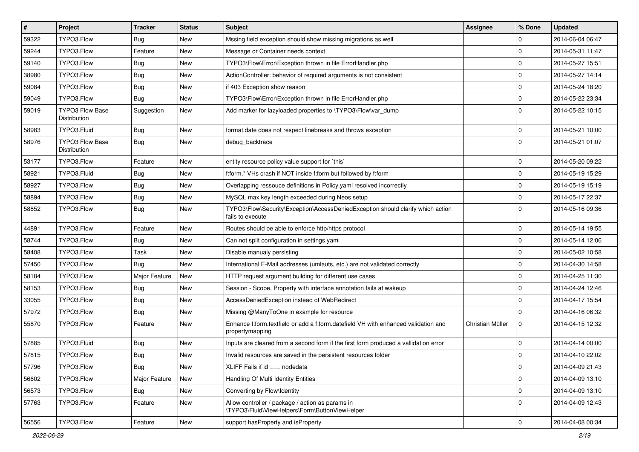| $\vert$ # | Project                                | <b>Tracker</b> | <b>Status</b> | <b>Subject</b>                                                                                        | <b>Assignee</b>  | % Done      | <b>Updated</b>   |
|-----------|----------------------------------------|----------------|---------------|-------------------------------------------------------------------------------------------------------|------------------|-------------|------------------|
| 59322     | TYPO3.Flow                             | <b>Bug</b>     | New           | Mssing field exception should show missing migrations as well                                         |                  | 0           | 2014-06-04 06:47 |
| 59244     | TYPO3.Flow                             | Feature        | <b>New</b>    | Message or Container needs context                                                                    |                  | $\mathbf 0$ | 2014-05-31 11:47 |
| 59140     | TYPO3.Flow                             | Bug            | New           | TYPO3\Flow\Error\Exception thrown in file ErrorHandler.php                                            |                  | $\mathbf 0$ | 2014-05-27 15:51 |
| 38980     | TYPO3.Flow                             | <b>Bug</b>     | <b>New</b>    | ActionController: behavior of required arguments is not consistent                                    |                  | $\mathbf 0$ | 2014-05-27 14:14 |
| 59084     | TYPO3.Flow                             | <b>Bug</b>     | <b>New</b>    | if 403 Exception show reason                                                                          |                  | $\mathbf 0$ | 2014-05-24 18:20 |
| 59049     | TYPO3.Flow                             | Bug            | <b>New</b>    | TYPO3\Flow\Error\Exception thrown in file ErrorHandler.php                                            |                  | $\mathbf 0$ | 2014-05-22 23:34 |
| 59019     | <b>TYPO3 Flow Base</b><br>Distribution | Suggestion     | New           | Add marker for lazyloaded properties to \TYPO3\Flow\var_dump                                          |                  | $\Omega$    | 2014-05-22 10:15 |
| 58983     | TYPO3.Fluid                            | Bug            | <b>New</b>    | format.date does not respect linebreaks and throws exception                                          |                  | $\mathbf 0$ | 2014-05-21 10:00 |
| 58976     | <b>TYPO3 Flow Base</b><br>Distribution | Bug            | <b>New</b>    | debug_backtrace                                                                                       |                  | $\Omega$    | 2014-05-21 01:07 |
| 53177     | TYPO3.Flow                             | Feature        | <b>New</b>    | entity resource policy value support for `this`                                                       |                  | $\Omega$    | 2014-05-20 09:22 |
| 58921     | TYPO3.Fluid                            | <b>Bug</b>     | <b>New</b>    | f:form.* VHs crash if NOT inside f:form but followed by f:form                                        |                  | $\mathbf 0$ | 2014-05-19 15:29 |
| 58927     | TYPO3.Flow                             | Bug            | New           | Overlapping ressouce definitions in Policy yaml resolved incorrectly                                  |                  | $\mathbf 0$ | 2014-05-19 15:19 |
| 58894     | TYPO3.Flow                             | Bug            | <b>New</b>    | MySQL max key length exceeded during Neos setup                                                       |                  | $\mathbf 0$ | 2014-05-17 22:37 |
| 58852     | TYPO3.Flow                             | <b>Bug</b>     | <b>New</b>    | TYPO3\Flow\Security\Exception\AccessDeniedException should clarify which action<br>fails to execute   |                  | $\Omega$    | 2014-05-16 09:36 |
| 44891     | TYPO3.Flow                             | Feature        | <b>New</b>    | Routes should be able to enforce http/https protocol                                                  |                  | $\mathbf 0$ | 2014-05-14 19:55 |
| 58744     | TYPO3.Flow                             | <b>Bug</b>     | New           | Can not split configuration in settings yaml                                                          |                  | $\mathbf 0$ | 2014-05-14 12:06 |
| 58408     | TYPO3.Flow                             | Task           | <b>New</b>    | Disable manualy persisting                                                                            |                  | $\mathbf 0$ | 2014-05-02 10:58 |
| 57450     | TYPO3.Flow                             | Bug            | New           | International E-Mail addresses (umlauts, etc.) are not validated correctly                            |                  | $\mathbf 0$ | 2014-04-30 14:58 |
| 58184     | TYPO3.Flow                             | Major Feature  | New           | HTTP request argument building for different use cases                                                |                  | $\mathbf 0$ | 2014-04-25 11:30 |
| 58153     | TYPO3.Flow                             | <b>Bug</b>     | New           | Session - Scope, Property with interface annotation fails at wakeup                                   |                  | $\Omega$    | 2014-04-24 12:46 |
| 33055     | TYPO3.Flow                             | <b>Bug</b>     | New           | AccessDeniedException instead of WebRedirect                                                          |                  | $\mathbf 0$ | 2014-04-17 15:54 |
| 57972     | TYPO3.Flow                             | <b>Bug</b>     | <b>New</b>    | Missing @ManyToOne in example for resource                                                            |                  | $\Omega$    | 2014-04-16 06:32 |
| 55870     | TYPO3.Flow                             | Feature        | <b>New</b>    | Enhance f:form.textfield or add a f:form.datefield VH with enhanced validation and<br>propertymapping | Christian Müller | $\mathbf 0$ | 2014-04-15 12:32 |
| 57885     | TYPO3.Fluid                            | Bug            | New           | Inputs are cleared from a second form if the first form produced a vallidation error                  |                  | $\mathbf 0$ | 2014-04-14 00:00 |
| 57815     | TYPO3.Flow                             | <b>Bug</b>     | <b>New</b>    | Invalid resources are saved in the persistent resources folder                                        |                  | $\Omega$    | 2014-04-10 22:02 |
| 57796     | TYPO3.Flow                             | <b>Bug</b>     | New           | XLIFF Fails if $id == node data$                                                                      |                  | $\mathbf 0$ | 2014-04-09 21:43 |
| 56602     | TYPO3.Flow                             | Major Feature  | New           | Handling Of Multi Identity Entities                                                                   |                  | $\mathbf 0$ | 2014-04-09 13:10 |
| 56573     | TYPO3.Flow                             | Bug            | New           | Converting by Flow\Identity                                                                           |                  | $\mathbf 0$ | 2014-04-09 13:10 |
| 57763     | TYPO3.Flow                             | Feature        | New           | Allow controller / package / action as params in<br>\TYPO3\Fluid\ViewHelpers\Form\ButtonViewHelper    |                  | $\mathbf 0$ | 2014-04-09 12:43 |
| 56556     | TYPO3.Flow                             | Feature        | New           | support has Property and is Property                                                                  |                  | 0           | 2014-04-08 00:34 |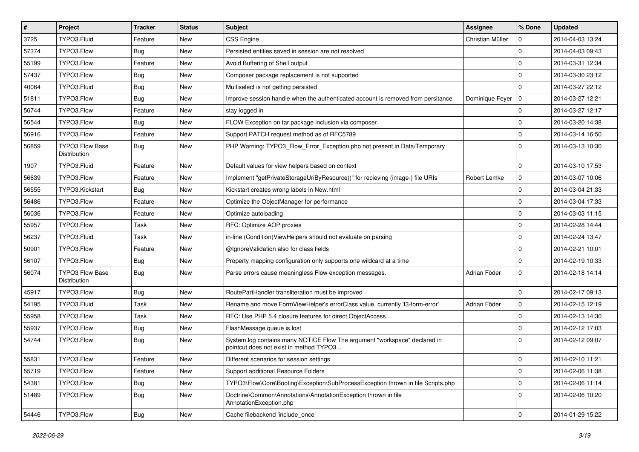| $\sharp$ | Project                                | <b>Tracker</b> | <b>Status</b> | <b>Subject</b>                                                                                                       | <b>Assignee</b>     | % Done      | <b>Updated</b>   |
|----------|----------------------------------------|----------------|---------------|----------------------------------------------------------------------------------------------------------------------|---------------------|-------------|------------------|
| 3725     | TYPO3.Fluid                            | Feature        | New           | <b>CSS Engine</b>                                                                                                    | Christian Müller    | $\mathbf 0$ | 2014-04-03 13:24 |
| 57374    | TYPO3.Flow                             | <b>Bug</b>     | <b>New</b>    | Persisted entities saved in session are not resolved                                                                 |                     | $\Omega$    | 2014-04-03 09:43 |
| 55199    | TYPO3.Flow                             | Feature        | New           | Avoid Buffering of Shell output                                                                                      |                     | $\mathbf 0$ | 2014-03-31 12:34 |
| 57437    | TYPO3.Flow                             | <b>Bug</b>     | New           | Composer package replacement is not supported                                                                        |                     | $\Omega$    | 2014-03-30 23:12 |
| 40064    | TYPO3.Fluid                            | <b>Bug</b>     | <b>New</b>    | Multiselect is not getting persisted                                                                                 |                     | $\Omega$    | 2014-03-27 22:12 |
| 51811    | TYPO3.Flow                             | <b>Bug</b>     | New           | Improve session handle when the authenticated account is removed from persitance                                     | Dominique Feyer   0 |             | 2014-03-27 12:21 |
| 56744    | TYPO3.Flow                             | Feature        | New           | stay logged in                                                                                                       |                     | $\Omega$    | 2014-03-27 12:17 |
| 56544    | TYPO3.Flow                             | <b>Bug</b>     | New           | FLOW Exception on tar package inclusion via composer                                                                 |                     | $\mathbf 0$ | 2014-03-20 14:38 |
| 56916    | TYPO3.Flow                             | Feature        | New           | Support PATCH request method as of RFC5789                                                                           |                     | $\mathbf 0$ | 2014-03-14 16:50 |
| 56859    | TYPO3 Flow Base<br>Distribution        | <b>Bug</b>     | <b>New</b>    | PHP Warning: TYPO3_Flow_Error_Exception.php not present in Data/Temporary                                            |                     | $\Omega$    | 2014-03-13 10:30 |
| 1907     | TYPO3.Fluid                            | Feature        | New           | Default values for view helpers based on context                                                                     |                     | $\mathbf 0$ | 2014-03-10 17:53 |
| 56639    | TYPO3.Flow                             | Feature        | New           | Implement "getPrivateStorageUriByResource()" for recieving (image-) file URIs                                        | Robert Lemke        | $\mathbf 0$ | 2014-03-07 10:06 |
| 56555    | TYPO3.Kickstart                        | <b>Bug</b>     | <b>New</b>    | Kickstart creates wrong labels in New.html                                                                           |                     | $\Omega$    | 2014-03-04 21:33 |
| 56486    | TYPO3.Flow                             | Feature        | New           | Optimize the ObjectManager for performance                                                                           |                     | 0           | 2014-03-04 17:33 |
| 56036    | TYPO3.Flow                             | Feature        | New           | Optimize autoloading                                                                                                 |                     | 0           | 2014-03-03 11:15 |
| 55957    | TYPO3.Flow                             | Task           | New           | RFC: Optimize AOP proxies                                                                                            |                     | $\mathbf 0$ | 2014-02-28 14:44 |
| 56237    | TYPO3.Fluid                            | Task           | <b>New</b>    | in-line (Condition) ViewHelpers should not evaluate on parsing                                                       |                     | $\mathbf 0$ | 2014-02-24 13:47 |
| 50901    | TYPO3.Flow                             | Feature        | New           | @IgnoreValidation also for class fields                                                                              |                     | $\mathbf 0$ | 2014-02-21 10:01 |
| 56107    | TYPO3.Flow                             | Bug            | New           | Property mapping configuration only supports one wildcard at a time                                                  |                     | $\mathbf 0$ | 2014-02-19 10:33 |
| 56074    | <b>TYPO3 Flow Base</b><br>Distribution | <b>Bug</b>     | New           | Parse errors cause meaningless Flow exception messages.                                                              | Adrian Föder        | $\mathbf 0$ | 2014-02-18 14:14 |
| 45917    | TYPO3.Flow                             | Bug            | <b>New</b>    | RoutePartHandler transliteration must be improved                                                                    |                     | $\mathbf 0$ | 2014-02-17 09:13 |
| 54195    | TYPO3.Fluid                            | Task           | New           | Rename and move FormViewHelper's errorClass value, currently 'f3-form-error'                                         | Adrian Föder        | $\mathbf 0$ | 2014-02-15 12:19 |
| 55958    | TYPO3.Flow                             | Task           | New           | RFC: Use PHP 5.4 closure features for direct ObjectAccess                                                            |                     | $\mathbf 0$ | 2014-02-13 14:30 |
| 55937    | TYPO3.Flow                             | <b>Bug</b>     | <b>New</b>    | FlashMessage queue is lost                                                                                           |                     | $\mathbf 0$ | 2014-02-12 17:03 |
| 54744    | TYPO3.Flow                             | <b>Bug</b>     | New           | System.log contains many NOTICE Flow The argument "workspace" declared in<br>pointcut does not exist in method TYPO3 |                     | $\Omega$    | 2014-02-12 09:07 |
| 55831    | TYPO3.Flow                             | Feature        | New           | Different scenarios for session settings                                                                             |                     | 0           | 2014-02-10 11:21 |
| 55719    | TYPO3.Flow                             | Feature        | New           | Support additional Resource Folders                                                                                  |                     | $\mathbf 0$ | 2014-02-06 11:38 |
| 54381    | TYPO3.Flow                             | <b>Bug</b>     | New           | TYPO3\Flow\Core\Booting\Exception\SubProcessException thrown in file Scripts.php                                     |                     | $\mathbf 0$ | 2014-02-06 11:14 |
| 51489    | TYPO3.Flow                             | Bug            | New           | Doctrine\Common\Annotations\AnnotationException thrown in file<br>AnnotationException.php                            |                     | $\mathbf 0$ | 2014-02-06 10:20 |
| 54446    | TYPO3.Flow                             | Bug            | New           | Cache filebackend 'include_once'                                                                                     |                     | 0           | 2014-01-29 15:22 |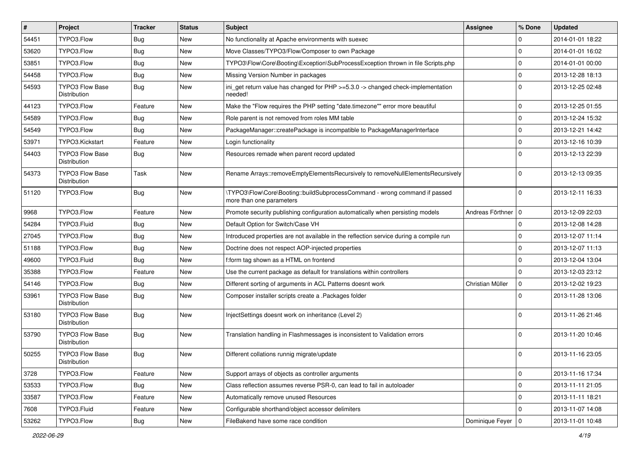| $\vert$ # | Project                                | <b>Tracker</b> | <b>Status</b> | <b>Subject</b>                                                                                         | <b>Assignee</b>      | % Done      | <b>Updated</b>   |
|-----------|----------------------------------------|----------------|---------------|--------------------------------------------------------------------------------------------------------|----------------------|-------------|------------------|
| 54451     | TYPO3.Flow                             | <b>Bug</b>     | New           | No functionality at Apache environments with suexec                                                    |                      | 0           | 2014-01-01 18:22 |
| 53620     | TYPO3.Flow                             | Bug            | <b>New</b>    | Move Classes/TYPO3/Flow/Composer to own Package                                                        |                      | $\mathbf 0$ | 2014-01-01 16:02 |
| 53851     | TYPO3.Flow                             | Bug            | New           | TYPO3\Flow\Core\Booting\Exception\SubProcessException thrown in file Scripts.php                       |                      | $\mathbf 0$ | 2014-01-01 00:00 |
| 54458     | TYPO3.Flow                             | <b>Bug</b>     | <b>New</b>    | Missing Version Number in packages                                                                     |                      | $\mathbf 0$ | 2013-12-28 18:13 |
| 54593     | <b>TYPO3 Flow Base</b><br>Distribution | <b>Bug</b>     | New           | ini_get return value has changed for PHP >=5.3.0 -> changed check-implementation<br>needed!            |                      | $\Omega$    | 2013-12-25 02:48 |
| 44123     | TYPO3.Flow                             | Feature        | <b>New</b>    | Make the "Flow requires the PHP setting "date.timezone"" error more beautiful                          |                      | $\mathbf 0$ | 2013-12-25 01:55 |
| 54589     | TYPO3.Flow                             | <b>Bug</b>     | <b>New</b>    | Role parent is not removed from roles MM table                                                         |                      | $\mathbf 0$ | 2013-12-24 15:32 |
| 54549     | TYPO3.Flow                             | Bug            | New           | PackageManager::createPackage is incompatible to PackageManagerInterface                               |                      | $\mathbf 0$ | 2013-12-21 14:42 |
| 53971     | TYPO3.Kickstart                        | Feature        | <b>New</b>    | Login functionality                                                                                    |                      | $\mathbf 0$ | 2013-12-16 10:39 |
| 54403     | TYPO3 Flow Base<br>Distribution        | Bug            | New           | Resources remade when parent record updated                                                            |                      | $\Omega$    | 2013-12-13 22:39 |
| 54373     | <b>TYPO3 Flow Base</b><br>Distribution | Task           | <b>New</b>    | Rename Arrays::removeEmptyElementsRecursively to removeNullElementsRecursively                         |                      | $\Omega$    | 2013-12-13 09:35 |
| 51120     | TYPO3.Flow                             | <b>Bug</b>     | <b>New</b>    | \TYPO3\Flow\Core\Booting::buildSubprocessCommand - wrong command if passed<br>more than one parameters |                      | $\Omega$    | 2013-12-11 16:33 |
| 9968      | TYPO3.Flow                             | Feature        | <b>New</b>    | Promote security publishing configuration automatically when persisting models                         | Andreas Förthner   0 |             | 2013-12-09 22:03 |
| 54284     | TYPO3.Fluid                            | Bug            | <b>New</b>    | Default Option for Switch/Case VH                                                                      |                      | $\mathbf 0$ | 2013-12-08 14:28 |
| 27045     | TYPO3.Flow                             | Bug            | New           | Introduced properties are not available in the reflection service during a compile run                 |                      | $\mathbf 0$ | 2013-12-07 11:14 |
| 51188     | TYPO3.Flow                             | <b>Bug</b>     | New           | Doctrine does not respect AOP-injected properties                                                      |                      | $\mathbf 0$ | 2013-12-07 11:13 |
| 49600     | TYPO3.Fluid                            | Bug            | <b>New</b>    | f:form tag shown as a HTML on frontend                                                                 |                      | $\mathbf 0$ | 2013-12-04 13:04 |
| 35388     | TYPO3.Flow                             | Feature        | New           | Use the current package as default for translations within controllers                                 |                      | $\mathbf 0$ | 2013-12-03 23:12 |
| 54146     | TYPO3.Flow                             | Bug            | New           | Different sorting of arguments in ACL Patterns doesnt work                                             | Christian Müller     | $\mathbf 0$ | 2013-12-02 19:23 |
| 53961     | <b>TYPO3 Flow Base</b><br>Distribution | <b>Bug</b>     | New           | Composer installer scripts create a .Packages folder                                                   |                      | $\Omega$    | 2013-11-28 13:06 |
| 53180     | TYPO3 Flow Base<br>Distribution        | <b>Bug</b>     | <b>New</b>    | InjectSettings doesnt work on inheritance (Level 2)                                                    |                      | $\Omega$    | 2013-11-26 21:46 |
| 53790     | TYPO3 Flow Base<br>Distribution        | <b>Bug</b>     | <b>New</b>    | Translation handling in Flashmessages is inconsistent to Validation errors                             |                      | $\Omega$    | 2013-11-20 10:46 |
| 50255     | TYPO3 Flow Base<br>Distribution        | Bug            | New           | Different collations runnig migrate/update                                                             |                      | $\Omega$    | 2013-11-16 23:05 |
| 3728      | TYPO3.Flow                             | Feature        | New           | Support arrays of objects as controller arguments                                                      |                      | 0           | 2013-11-16 17:34 |
| 53533     | TYPO3.Flow                             | <b>Bug</b>     | New           | Class reflection assumes reverse PSR-0, can lead to fail in autoloader                                 |                      | $\mathbf 0$ | 2013-11-11 21:05 |
| 33587     | TYPO3.Flow                             | Feature        | New           | Automatically remove unused Resources                                                                  |                      | $\mathbf 0$ | 2013-11-11 18:21 |
| 7608      | TYPO3.Fluid                            | Feature        | New           | Configurable shorthand/object accessor delimiters                                                      |                      | $\mathbf 0$ | 2013-11-07 14:08 |
| 53262     | TYPO3.Flow                             | <b>Bug</b>     | New           | FileBakend have some race condition                                                                    | Dominique Feyer   0  |             | 2013-11-01 10:48 |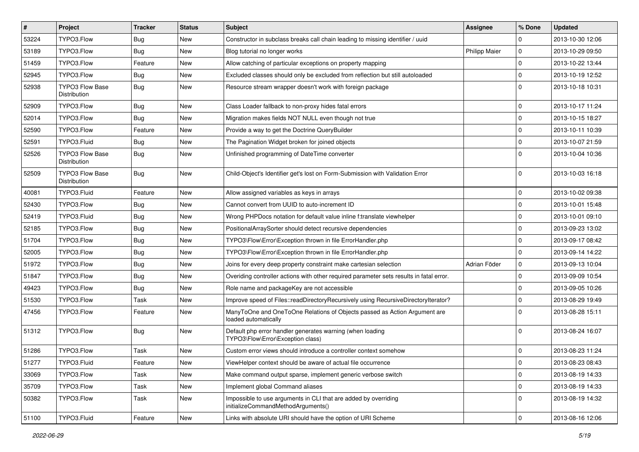| #     | Project                                | <b>Tracker</b> | <b>Status</b> | Subject                                                                                               | Assignee             | % Done      | <b>Updated</b>   |
|-------|----------------------------------------|----------------|---------------|-------------------------------------------------------------------------------------------------------|----------------------|-------------|------------------|
| 53224 | TYPO3.Flow                             | <b>Bug</b>     | <b>New</b>    | Constructor in subclass breaks call chain leading to missing identifier / uuid                        |                      | $\Omega$    | 2013-10-30 12:06 |
| 53189 | TYPO3.Flow                             | Bug            | <b>New</b>    | Blog tutorial no longer works                                                                         | <b>Philipp Maier</b> | $\mathbf 0$ | 2013-10-29 09:50 |
| 51459 | TYPO3.Flow                             | Feature        | New           | Allow catching of particular exceptions on property mapping                                           |                      | $\mathbf 0$ | 2013-10-22 13:44 |
| 52945 | TYPO3.Flow                             | Bug            | New           | Excluded classes should only be excluded from reflection but still autoloaded                         |                      | $\mathbf 0$ | 2013-10-19 12:52 |
| 52938 | <b>TYPO3 Flow Base</b><br>Distribution | <b>Bug</b>     | New           | Resource stream wrapper doesn't work with foreign package                                             |                      | $\Omega$    | 2013-10-18 10:31 |
| 52909 | TYPO3.Flow                             | Bug            | <b>New</b>    | Class Loader fallback to non-proxy hides fatal errors                                                 |                      | $\mathbf 0$ | 2013-10-17 11:24 |
| 52014 | TYPO3.Flow                             | <b>Bug</b>     | New           | Migration makes fields NOT NULL even though not true                                                  |                      | $\mathbf 0$ | 2013-10-15 18:27 |
| 52590 | TYPO3.Flow                             | Feature        | New           | Provide a way to get the Doctrine QueryBuilder                                                        |                      | $\mathbf 0$ | 2013-10-11 10:39 |
| 52591 | TYPO3.Fluid                            | Bug            | <b>New</b>    | The Pagination Widget broken for joined objects                                                       |                      | $\mathbf 0$ | 2013-10-07 21:59 |
| 52526 | TYPO3 Flow Base<br>Distribution        | Bug            | New           | Unfinished programming of DateTime converter                                                          |                      | $\Omega$    | 2013-10-04 10:36 |
| 52509 | <b>TYPO3 Flow Base</b><br>Distribution | Bug            | <b>New</b>    | Child-Object's Identifier get's lost on Form-Submission with Validation Error                         |                      | $\Omega$    | 2013-10-03 16:18 |
| 40081 | TYPO3.Fluid                            | Feature        | <b>New</b>    | Allow assigned variables as keys in arrays                                                            |                      | $\mathbf 0$ | 2013-10-02 09:38 |
| 52430 | TYPO3.Flow                             | <b>Bug</b>     | New           | Cannot convert from UUID to auto-increment ID                                                         |                      | $\mathbf 0$ | 2013-10-01 15:48 |
| 52419 | TYPO3.Fluid                            | <b>Bug</b>     | New           | Wrong PHPDocs notation for default value inline f:translate viewhelper                                |                      | $\mathbf 0$ | 2013-10-01 09:10 |
| 52185 | TYPO3.Flow                             | Bug            | <b>New</b>    | PositionalArraySorter should detect recursive dependencies                                            |                      | $\mathbf 0$ | 2013-09-23 13:02 |
| 51704 | TYPO3.Flow                             | Bug            | New           | TYPO3\Flow\Error\Exception thrown in file ErrorHandler.php                                            |                      | $\mathbf 0$ | 2013-09-17 08:42 |
| 52005 | TYPO3.Flow                             | Bug            | New           | TYPO3\Flow\Error\Exception thrown in file ErrorHandler.php                                            |                      | $\mathbf 0$ | 2013-09-14 14:22 |
| 51972 | TYPO3.Flow                             | Bug            | New           | Joins for every deep property constraint make cartesian selection                                     | Adrian Föder         | $\mathbf 0$ | 2013-09-13 10:04 |
| 51847 | TYPO3.Flow                             | Bug            | New           | Overiding controller actions with other required parameter sets results in fatal error.               |                      | $\mathbf 0$ | 2013-09-09 10:54 |
| 49423 | TYPO3.Flow                             | Bug            | <b>New</b>    | Role name and packageKey are not accessible                                                           |                      | $\mathbf 0$ | 2013-09-05 10:26 |
| 51530 | TYPO3.Flow                             | Task           | New           | Improve speed of Files::readDirectoryRecursively using RecursiveDirectoryIterator?                    |                      | $\mathbf 0$ | 2013-08-29 19:49 |
| 47456 | TYPO3.Flow                             | Feature        | New           | ManyToOne and OneToOne Relations of Objects passed as Action Argument are<br>loaded automatically     |                      | $\Omega$    | 2013-08-28 15:11 |
| 51312 | TYPO3.Flow                             | Bug            | New           | Default php error handler generates warning (when loading<br>TYPO3\Flow\Error\Exception class)        |                      | $\Omega$    | 2013-08-24 16:07 |
| 51286 | TYPO3.Flow                             | Task           | New           | Custom error views should introduce a controller context somehow                                      |                      | $\mathbf 0$ | 2013-08-23 11:24 |
| 51277 | TYPO3.Fluid                            | Feature        | New           | ViewHelper context should be aware of actual file occurrence                                          |                      | 0           | 2013-08-23 08:43 |
| 33069 | TYPO3.Flow                             | Task           | New           | Make command output sparse, implement generic verbose switch                                          |                      | $\mathbf 0$ | 2013-08-19 14:33 |
| 35709 | TYPO3.Flow                             | Task           | New           | Implement global Command aliases                                                                      |                      | $\mathbf 0$ | 2013-08-19 14:33 |
| 50382 | TYPO3.Flow                             | Task           | New           | Impossible to use arguments in CLI that are added by overriding<br>initializeCommandMethodArguments() |                      | $\mathbf 0$ | 2013-08-19 14:32 |
| 51100 | TYPO3.Fluid                            | Feature        | New           | Links with absolute URI should have the option of URI Scheme                                          |                      | $\mathbf 0$ | 2013-08-16 12:06 |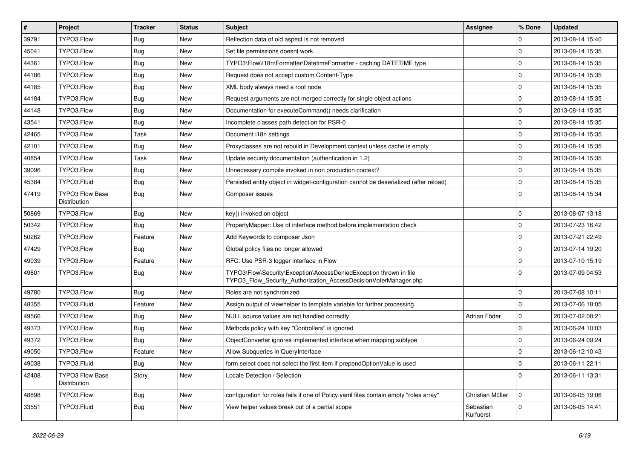| #     | Project                         | <b>Tracker</b> | <b>Status</b> | <b>Subject</b>                                                                                                                         | <b>Assignee</b>        | % Done       | <b>Updated</b>   |
|-------|---------------------------------|----------------|---------------|----------------------------------------------------------------------------------------------------------------------------------------|------------------------|--------------|------------------|
| 39791 | TYPO3.Flow                      | <b>Bug</b>     | New           | Reflection data of old aspect is not removed                                                                                           |                        | 0            | 2013-08-14 15:40 |
| 45041 | TYPO3.Flow                      | <b>Bug</b>     | <b>New</b>    | Set file permissions doesnt work                                                                                                       |                        | $\mathbf 0$  | 2013-08-14 15:35 |
| 44361 | TYPO3.Flow                      | <b>Bug</b>     | <b>New</b>    | TYPO3\Flow\I18n\Formatter\DatetimeFormatter - caching DATETIME type                                                                    |                        | $\mathbf 0$  | 2013-08-14 15:35 |
| 44186 | TYPO3.Flow                      | <b>Bug</b>     | New           | Request does not accept custom Content-Type                                                                                            |                        | $\mathbf{0}$ | 2013-08-14 15:35 |
| 44185 | TYPO3.Flow                      | <b>Bug</b>     | <b>New</b>    | XML body always need a root node                                                                                                       |                        | $\mathbf 0$  | 2013-08-14 15:35 |
| 44184 | TYPO3.Flow                      | <b>Bug</b>     | New           | Request arguments are not merged correctly for single object actions                                                                   |                        | $\mathbf 0$  | 2013-08-14 15:35 |
| 44148 | TYPO3.Flow                      | <b>Bug</b>     | <b>New</b>    | Documentation for executeCommand() needs clarification                                                                                 |                        | $\mathbf 0$  | 2013-08-14 15:35 |
| 43541 | TYPO3.Flow                      | <b>Bug</b>     | New           | Incomplete classes path detection for PSR-0                                                                                            |                        | $\mathbf 0$  | 2013-08-14 15:35 |
| 42465 | TYPO3.Flow                      | Task           | New           | Document i18n settings                                                                                                                 |                        | $\mathbf 0$  | 2013-08-14 15:35 |
| 42101 | TYPO3.Flow                      | <b>Bug</b>     | <b>New</b>    | Proxyclasses are not rebuild in Development context unless cache is empty                                                              |                        | $\mathbf 0$  | 2013-08-14 15:35 |
| 40854 | TYPO3.Flow                      | Task           | New           | Update security documentation (authentication in 1.2)                                                                                  |                        | $\mathbf 0$  | 2013-08-14 15:35 |
| 39096 | TYPO3.Flow                      | <b>Bug</b>     | <b>New</b>    | Unnecessary compile invoked in non production context?                                                                                 |                        | $\mathbf 0$  | 2013-08-14 15:35 |
| 45384 | TYPO3.Fluid                     | <b>Bug</b>     | New           | Persisted entity object in widget-configuration cannot be deserialized (after reload)                                                  |                        | $\mathbf 0$  | 2013-08-14 15:35 |
| 47419 | TYPO3 Flow Base<br>Distribution | <b>Bug</b>     | New           | Composer issues                                                                                                                        |                        | $\Omega$     | 2013-08-14 15:34 |
| 50869 | TYPO3.Flow                      | <b>Bug</b>     | <b>New</b>    | key() invoked on object                                                                                                                |                        | $\mathbf 0$  | 2013-08-07 13:18 |
| 50342 | TYPO3.Flow                      | <b>Bug</b>     | New           | PropertyMapper: Use of interface method before implementation check                                                                    |                        | $\mathbf 0$  | 2013-07-23 16:42 |
| 50262 | TYPO3.Flow                      | Feature        | <b>New</b>    | Add Keywords to composer Json                                                                                                          |                        | $\mathbf 0$  | 2013-07-21 22:49 |
| 47429 | TYPO3.Flow                      | <b>Bug</b>     | New           | Global policy files no longer allowed                                                                                                  |                        | $\mathbf 0$  | 2013-07-14 19:20 |
| 49039 | TYPO3.Flow                      | Feature        | <b>New</b>    | RFC: Use PSR-3 logger interface in Flow                                                                                                |                        | $\mathbf 0$  | 2013-07-10 15:19 |
| 49801 | TYPO3.Flow                      | <b>Bug</b>     | New           | TYPO3\Flow\Security\Exception\AccessDeniedException thrown in file<br>TYPO3_Flow_Security_Authorization_AccessDecisionVoterManager.php |                        | $\Omega$     | 2013-07-09 04:53 |
| 49780 | TYPO3.Flow                      | Bug            | <b>New</b>    | Roles are not synchronized                                                                                                             |                        | $\mathbf 0$  | 2013-07-08 10:11 |
| 48355 | TYPO3.Fluid                     | Feature        | New           | Assign output of viewhelper to template variable for further processing.                                                               |                        | $\mathbf 0$  | 2013-07-06 18:05 |
| 49566 | TYPO3.Flow                      | Bug            | New           | NULL source values are not handled correctly                                                                                           | Adrian Föder           | $\mathbf 0$  | 2013-07-02 08:21 |
| 49373 | TYPO3.Flow                      | <b>Bug</b>     | <b>New</b>    | Methods policy with key "Controllers" is ignored                                                                                       |                        | $\mathbf 0$  | 2013-06-24 10:03 |
| 49372 | TYPO3.Flow                      | <b>Bug</b>     | <b>New</b>    | ObjectConverter ignores implemented interface when mapping subtype                                                                     |                        | $\Omega$     | 2013-06-24 09:24 |
| 49050 | TYPO3.Flow                      | Feature        | New           | Allow Subqueries in QueryInterface                                                                                                     |                        | $\mathbf 0$  | 2013-06-12 10:43 |
| 49038 | TYPO3.Fluid                     | <b>Bug</b>     | New           | form.select does not select the first item if prependOptionValue is used                                                               |                        | 0            | 2013-06-11 22:11 |
| 42408 | TYPO3 Flow Base<br>Distribution | Story          | New           | Locale Detection / Selection                                                                                                           |                        | $\mathbf 0$  | 2013-06-11 13:31 |
| 48898 | TYPO3.Flow                      | <b>Bug</b>     | New           | configuration for roles fails if one of Policy yaml files contain empty "roles array"                                                  | Christian Müller       | 10           | 2013-06-05 19:06 |
| 33551 | TYPO3.Fluid                     | Bug            | New           | View helper values break out of a partial scope                                                                                        | Sebastian<br>Kurfuerst | $\mathbf 0$  | 2013-06-05 14:41 |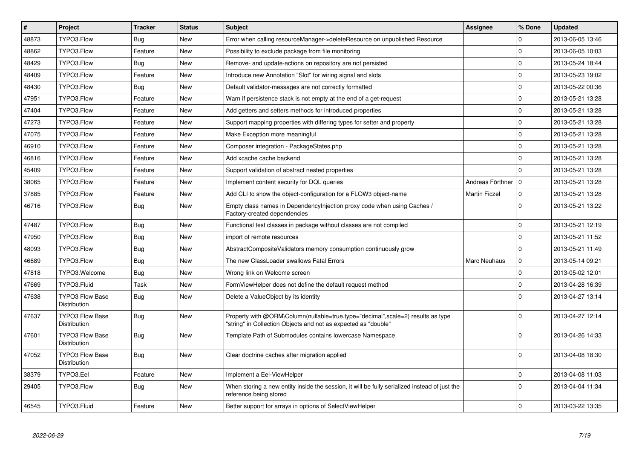| $\#$  | <b>Project</b>                                | <b>Tracker</b> | <b>Status</b> | <b>Subject</b>                                                                                                                                    | <b>Assignee</b>      | % Done       | <b>Updated</b>   |
|-------|-----------------------------------------------|----------------|---------------|---------------------------------------------------------------------------------------------------------------------------------------------------|----------------------|--------------|------------------|
| 48873 | TYPO3.Flow                                    | Bug            | <b>New</b>    | Error when calling resourceManager->deleteResource on unpublished Resource                                                                        |                      | $\Omega$     | 2013-06-05 13:46 |
| 48862 | TYPO3.Flow                                    | Feature        | <b>New</b>    | Possibility to exclude package from file monitoring                                                                                               |                      | $\Omega$     | 2013-06-05 10:03 |
| 48429 | TYPO3.Flow                                    | <b>Bug</b>     | New           | Remove- and update-actions on repository are not persisted                                                                                        |                      | $\Omega$     | 2013-05-24 18:44 |
| 48409 | TYPO3.Flow                                    | Feature        | New           | Introduce new Annotation "Slot" for wiring signal and slots                                                                                       |                      | $\mathbf 0$  | 2013-05-23 19:02 |
| 48430 | TYPO3.Flow                                    | <b>Bug</b>     | <b>New</b>    | Default validator-messages are not correctly formatted                                                                                            |                      | $\mathbf 0$  | 2013-05-22 00:36 |
| 47951 | TYPO3.Flow                                    | Feature        | <b>New</b>    | Warn if persistence stack is not empty at the end of a get-request                                                                                |                      | $\mathbf 0$  | 2013-05-21 13:28 |
| 47404 | TYPO3.Flow                                    | Feature        | <b>New</b>    | Add getters and setters methods for introduced properties                                                                                         |                      | $\mathbf 0$  | 2013-05-21 13:28 |
| 47273 | TYPO3.Flow                                    | Feature        | New           | Support mapping properties with differing types for setter and property                                                                           |                      | $\mathbf 0$  | 2013-05-21 13:28 |
| 47075 | TYPO3.Flow                                    | Feature        | <b>New</b>    | Make Exception more meaningful                                                                                                                    |                      | $\Omega$     | 2013-05-21 13:28 |
| 46910 | TYPO3.Flow                                    | Feature        | New           | Composer integration - PackageStates.php                                                                                                          |                      | $\mathbf 0$  | 2013-05-21 13:28 |
| 46816 | TYPO3.Flow                                    | Feature        | <b>New</b>    | Add xcache cache backend                                                                                                                          |                      | $\mathbf 0$  | 2013-05-21 13:28 |
| 45409 | TYPO3.Flow                                    | Feature        | <b>New</b>    | Support validation of abstract nested properties                                                                                                  |                      | $\Omega$     | 2013-05-21 13:28 |
| 38065 | TYPO3.Flow                                    | Feature        | <b>New</b>    | Implement content security for DQL queries                                                                                                        | Andreas Förthner     | l o          | 2013-05-21 13:28 |
| 37885 | TYPO3.Flow                                    | Feature        | <b>New</b>    | Add CLI to show the object-configuration for a FLOW3 object-name                                                                                  | <b>Martin Ficzel</b> | $\mathbf{0}$ | 2013-05-21 13:28 |
| 46716 | TYPO3.Flow                                    | <b>Bug</b>     | New           | Empty class names in Dependencylnjection proxy code when using Caches /<br>Factory-created dependencies                                           |                      | $\Omega$     | 2013-05-21 13:22 |
| 47487 | TYPO3.Flow                                    | Bug            | <b>New</b>    | Functional test classes in package without classes are not compiled                                                                               |                      | $\mathbf 0$  | 2013-05-21 12:19 |
| 47950 | TYPO3.Flow                                    | Bug            | <b>New</b>    | import of remote resources                                                                                                                        |                      | $\Omega$     | 2013-05-21 11:52 |
| 48093 | TYPO3.Flow                                    | <b>Bug</b>     | <b>New</b>    | AbstractCompositeValidators memory consumption continuously grow                                                                                  |                      | $\mathbf 0$  | 2013-05-21 11:49 |
| 46689 | TYPO3.Flow                                    | Bug            | New           | The new ClassLoader swallows Fatal Errors                                                                                                         | <b>Marc Neuhaus</b>  | $\mathbf 0$  | 2013-05-14 09:21 |
| 47818 | TYPO3.Welcome                                 | Bug            | New           | Wrong link on Welcome screen                                                                                                                      |                      | $\mathbf 0$  | 2013-05-02 12:01 |
| 47669 | TYPO3.Fluid                                   | Task           | New           | FormViewHelper does not define the default request method                                                                                         |                      | $\mathbf 0$  | 2013-04-28 16:39 |
| 47638 | <b>TYPO3 Flow Base</b><br>Distribution        | Bug            | New           | Delete a ValueObject by its identity                                                                                                              |                      | $\Omega$     | 2013-04-27 13:14 |
| 47637 | <b>TYPO3 Flow Base</b><br><b>Distribution</b> | Bug            | <b>New</b>    | Property with @ORM\Column(nullable=true,type="decimal",scale=2) results as type<br>"string" in Collection Objects and not as expected as "double" |                      | $\Omega$     | 2013-04-27 12:14 |
| 47601 | <b>TYPO3 Flow Base</b><br><b>Distribution</b> | Bug            | <b>New</b>    | Template Path of Submodules contains lowercase Namespace                                                                                          |                      | $\Omega$     | 2013-04-26 14:33 |
| 47052 | <b>TYPO3 Flow Base</b><br>Distribution        | <b>Bug</b>     | <b>New</b>    | Clear doctrine caches after migration applied                                                                                                     |                      | $\Omega$     | 2013-04-08 18:30 |
| 38379 | TYPO3.Eel                                     | Feature        | New           | Implement a Eel-ViewHelper                                                                                                                        |                      | $\mathbf 0$  | 2013-04-08 11:03 |
| 29405 | TYPO3.Flow                                    | <b>Bug</b>     | <b>New</b>    | When storing a new entity inside the session, it will be fully serialized instead of just the<br>reference being stored                           |                      | $\Omega$     | 2013-04-04 11:34 |
| 46545 | TYPO3.Fluid                                   | Feature        | <b>New</b>    | Better support for arrays in options of SelectViewHelper                                                                                          |                      | $\Omega$     | 2013-03-22 13:35 |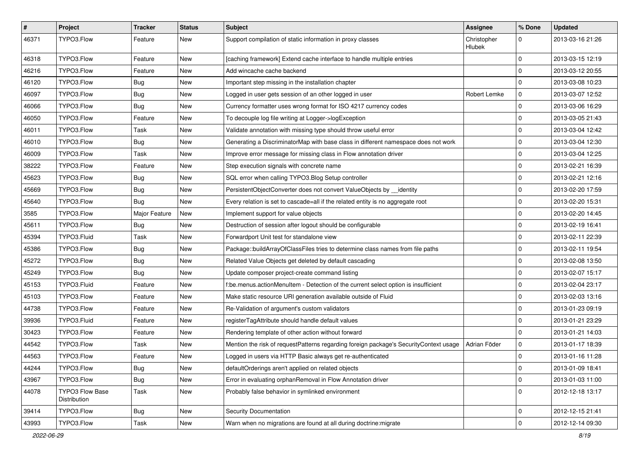| $\pmb{\#}$ | <b>Project</b>                  | <b>Tracker</b> | <b>Status</b> | Subject                                                                               | Assignee              | % Done      | <b>Updated</b>   |
|------------|---------------------------------|----------------|---------------|---------------------------------------------------------------------------------------|-----------------------|-------------|------------------|
| 46371      | TYPO3.Flow                      | Feature        | New           | Support compilation of static information in proxy classes                            | Christopher<br>Hlubek | 0           | 2013-03-16 21:26 |
| 46318      | TYPO3.Flow                      | Feature        | New           | [caching framework] Extend cache interface to handle multiple entries                 |                       | $\mathbf 0$ | 2013-03-15 12:19 |
| 46216      | TYPO3.Flow                      | Feature        | New           | Add wincache cache backend                                                            |                       | $\mathbf 0$ | 2013-03-12 20:55 |
| 46120      | TYPO3.Flow                      | <b>Bug</b>     | New           | Important step missing in the installation chapter                                    |                       | $\mathbf 0$ | 2013-03-08 10:23 |
| 46097      | TYPO3.Flow                      | <b>Bug</b>     | New           | Logged in user gets session of an other logged in user                                | Robert Lemke          | 0           | 2013-03-07 12:52 |
| 46066      | TYPO3.Flow                      | <b>Bug</b>     | New           | Currency formatter uses wrong format for ISO 4217 currency codes                      |                       | $\mathbf 0$ | 2013-03-06 16:29 |
| 46050      | TYPO3.Flow                      | Feature        | New           | To decouple log file writing at Logger->logException                                  |                       | $\mathbf 0$ | 2013-03-05 21:43 |
| 46011      | TYPO3.Flow                      | Task           | New           | Validate annotation with missing type should throw useful error                       |                       | 0           | 2013-03-04 12:42 |
| 46010      | TYPO3.Flow                      | <b>Bug</b>     | <b>New</b>    | Generating a DiscriminatorMap with base class in different namespace does not work    |                       | 0           | 2013-03-04 12:30 |
| 46009      | TYPO3.Flow                      | Task           | New           | Improve error message for missing class in Flow annotation driver                     |                       | $\mathbf 0$ | 2013-03-04 12:25 |
| 38222      | TYPO3.Flow                      | Feature        | New           | Step execution signals with concrete name                                             |                       | $\mathbf 0$ | 2013-02-21 16:39 |
| 45623      | TYPO3.Flow                      | <b>Bug</b>     | New           | SQL error when calling TYPO3.Blog Setup controller                                    |                       | 0           | 2013-02-21 12:16 |
| 45669      | TYPO3.Flow                      | <b>Bug</b>     | New           | PersistentObjectConverter does not convert ValueObjects by __identity                 |                       | $\mathbf 0$ | 2013-02-20 17:59 |
| 45640      | TYPO3.Flow                      | <b>Bug</b>     | <b>New</b>    | Every relation is set to cascade=all if the related entity is no aggregate root       |                       | 0           | 2013-02-20 15:31 |
| 3585       | TYPO3.Flow                      | Major Feature  | New           | Implement support for value objects                                                   |                       | $\mathbf 0$ | 2013-02-20 14:45 |
| 45611      | TYPO3.Flow                      | <b>Bug</b>     | New           | Destruction of session after logout should be configurable                            |                       | $\mathbf 0$ | 2013-02-19 16:41 |
| 45394      | TYPO3.Fluid                     | Task           | New           | Forwardport Unit test for standalone view                                             |                       | $\mathbf 0$ | 2013-02-11 22:39 |
| 45386      | TYPO3.Flow                      | <b>Bug</b>     | New           | Package::buildArrayOfClassFiles tries to determine class names from file paths        |                       | $\mathbf 0$ | 2013-02-11 19:54 |
| 45272      | TYPO3.Flow                      | <b>Bug</b>     | New           | Related Value Objects get deleted by default cascading                                |                       | 0           | 2013-02-08 13:50 |
| 45249      | TYPO3.Flow                      | Bug            | New           | Update composer project-create command listing                                        |                       | $\mathbf 0$ | 2013-02-07 15:17 |
| 45153      | TYPO3.Fluid                     | Feature        | New           | f:be.menus.actionMenuItem - Detection of the current select option is insufficient    |                       | 0           | 2013-02-04 23:17 |
| 45103      | TYPO3.Flow                      | Feature        | New           | Make static resource URI generation available outside of Fluid                        |                       | $\mathbf 0$ | 2013-02-03 13:16 |
| 44738      | TYPO3.Flow                      | Feature        | New           | Re-Validation of argument's custom validators                                         |                       | $\mathbf 0$ | 2013-01-23 09:19 |
| 39936      | TYPO3.Fluid                     | Feature        | New           | registerTagAttribute should handle default values                                     |                       | $\mathbf 0$ | 2013-01-21 23:29 |
| 30423      | TYPO3.Flow                      | Feature        | New           | Rendering template of other action without forward                                    |                       | 0           | 2013-01-21 14:03 |
| 44542      | TYPO3.Flow                      | Task           | New           | Mention the risk of requestPatterns regarding foreign package's SecurityContext usage | Adrian Föder          | $\mathbf 0$ | 2013-01-17 18:39 |
| 44563      | TYPO3.Flow                      | Feature        | New           | Logged in users via HTTP Basic always get re-authenticated                            |                       | $\mathbf 0$ | 2013-01-16 11:28 |
| 44244      | TYPO3.Flow                      | <b>Bug</b>     | New           | defaultOrderings aren't applied on related objects                                    |                       | 0           | 2013-01-09 18:41 |
| 43967      | TYPO3.Flow                      | <b>Bug</b>     | New           | Error in evaluating orphanRemoval in Flow Annotation driver                           |                       | $\mathbf 0$ | 2013-01-03 11:00 |
| 44078      | TYPO3 Flow Base<br>Distribution | Task           | New           | Probably false behavior in symlinked environment                                      |                       | 0           | 2012-12-18 13:17 |
| 39414      | TYPO3.Flow                      | <b>Bug</b>     | New           | <b>Security Documentation</b>                                                         |                       | $\mathbf 0$ | 2012-12-15 21:41 |
| 43993      | TYPO3.Flow                      | Task           | New           | Warn when no migrations are found at all during doctrine: migrate                     |                       | $\mathsf 0$ | 2012-12-14 09:30 |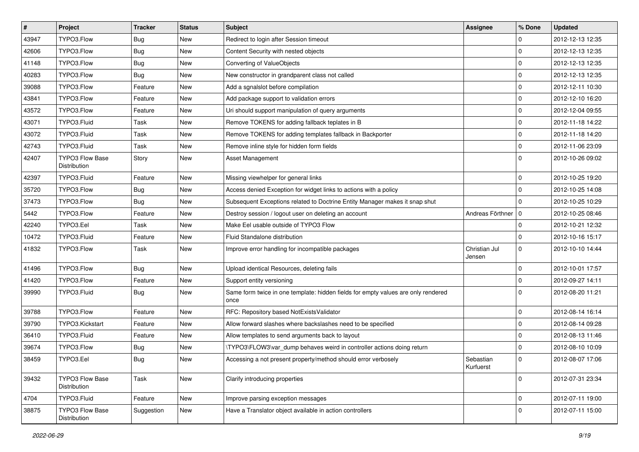| $\vert$ # | Project                                | <b>Tracker</b> | <b>Status</b> | Subject                                                                                   | <b>Assignee</b>         | % Done      | <b>Updated</b>   |
|-----------|----------------------------------------|----------------|---------------|-------------------------------------------------------------------------------------------|-------------------------|-------------|------------------|
| 43947     | TYPO3.Flow                             | <b>Bug</b>     | New           | Redirect to login after Session timeout                                                   |                         | 0           | 2012-12-13 12:35 |
| 42606     | TYPO3.Flow                             | <b>Bug</b>     | New           | Content Security with nested objects                                                      |                         | $\mathbf 0$ | 2012-12-13 12:35 |
| 41148     | TYPO3.Flow                             | Bug            | New           | Converting of ValueObjects                                                                |                         | $\mathbf 0$ | 2012-12-13 12:35 |
| 40283     | TYPO3.Flow                             | <b>Bug</b>     | New           | New constructor in grandparent class not called                                           |                         | $\mathbf 0$ | 2012-12-13 12:35 |
| 39088     | TYPO3.Flow                             | Feature        | New           | Add a sgnalslot before compilation                                                        |                         | $\mathbf 0$ | 2012-12-11 10:30 |
| 43841     | TYPO3.Flow                             | Feature        | New           | Add package support to validation errors                                                  |                         | $\mathbf 0$ | 2012-12-10 16:20 |
| 43572     | TYPO3.Flow                             | Feature        | New           | Uri should support manipulation of query arguments                                        |                         | $\mathbf 0$ | 2012-12-04 09:55 |
| 43071     | TYPO3.Fluid                            | Task           | New           | Remove TOKENS for adding fallback teplates in B                                           |                         | $\mathbf 0$ | 2012-11-18 14:22 |
| 43072     | TYPO3.Fluid                            | Task           | New           | Remove TOKENS for adding templates fallback in Backporter                                 |                         | $\mathbf 0$ | 2012-11-18 14:20 |
| 42743     | TYPO3.Fluid                            | Task           | <b>New</b>    | Remove inline style for hidden form fields                                                |                         | $\mathbf 0$ | 2012-11-06 23:09 |
| 42407     | <b>TYPO3 Flow Base</b><br>Distribution | Story          | New           | Asset Management                                                                          |                         | $\mathbf 0$ | 2012-10-26 09:02 |
| 42397     | TYPO3.Fluid                            | Feature        | New           | Missing viewhelper for general links                                                      |                         | $\mathbf 0$ | 2012-10-25 19:20 |
| 35720     | TYPO3.Flow                             | <b>Bug</b>     | New           | Access denied Exception for widget links to actions with a policy                         |                         | $\Omega$    | 2012-10-25 14:08 |
| 37473     | TYPO3.Flow                             | <b>Bug</b>     | New           | Subsequent Exceptions related to Doctrine Entity Manager makes it snap shut               |                         | $\Omega$    | 2012-10-25 10:29 |
| 5442      | TYPO3.Flow                             | Feature        | <b>New</b>    | Destroy session / logout user on deleting an account                                      | Andreas Förthner 10     |             | 2012-10-25 08:46 |
| 42240     | TYPO3.Eel                              | Task           | New           | Make Eel usable outside of TYPO3 Flow                                                     |                         | $\Omega$    | 2012-10-21 12:32 |
| 10472     | TYPO3.Fluid                            | Feature        | <b>New</b>    | Fluid Standalone distribution                                                             |                         | $\Omega$    | 2012-10-16 15:17 |
| 41832     | TYPO3.Flow                             | Task           | New           | Improve error handling for incompatible packages                                          | Christian Jul<br>Jensen | $\mathbf 0$ | 2012-10-10 14:44 |
| 41496     | TYPO3.Flow                             | <b>Bug</b>     | New           | Upload identical Resources, deleting fails                                                |                         | 0           | 2012-10-01 17:57 |
| 41420     | TYPO3.Flow                             | Feature        | New           | Support entity versioning                                                                 |                         | $\mathbf 0$ | 2012-09-27 14:11 |
| 39990     | TYPO3.Fluid                            | <b>Bug</b>     | New           | Same form twice in one template: hidden fields for empty values are only rendered<br>once |                         | $\Omega$    | 2012-08-20 11:21 |
| 39788     | TYPO3.Flow                             | Feature        | New           | RFC: Repository based NotExistsValidator                                                  |                         | $\mathbf 0$ | 2012-08-14 16:14 |
| 39790     | TYPO3.Kickstart                        | Feature        | <b>New</b>    | Allow forward slashes where backslashes need to be specified                              |                         | $\mathbf 0$ | 2012-08-14 09:28 |
| 36410     | TYPO3.Fluid                            | Feature        | New           | Allow templates to send arguments back to layout                                          |                         | $\Omega$    | 2012-08-13 11:46 |
| 39674     | TYPO3.Flow                             | <b>Bug</b>     | New           | \TYPO3\FLOW3\var dump behaves weird in controller actions doing return                    |                         | $\mathbf 0$ | 2012-08-10 10:09 |
| 38459     | TYPO3.Eel                              | Bug            | New           | Accessing a not present property/method should error verbosely                            | Sebastian<br>Kurfuerst  | $\mathbf 0$ | 2012-08-07 17:06 |
| 39432     | TYPO3 Flow Base<br>Distribution        | Task           | New           | Clarify introducing properties                                                            |                         | $\mathbf 0$ | 2012-07-31 23:34 |
| 4704      | TYPO3.Fluid                            | Feature        | New           | Improve parsing exception messages                                                        |                         | $\mathbf 0$ | 2012-07-11 19:00 |
| 38875     | TYPO3 Flow Base<br>Distribution        | Suggestion     | New           | Have a Translator object available in action controllers                                  |                         | $\mathbf 0$ | 2012-07-11 15:00 |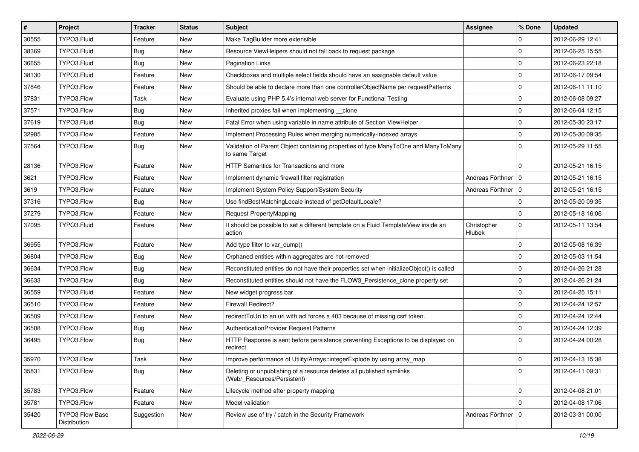| $\vert$ # | Project                                | Tracker    | <b>Status</b> | Subject                                                                                              | <b>Assignee</b>       | % Done      | <b>Updated</b>   |
|-----------|----------------------------------------|------------|---------------|------------------------------------------------------------------------------------------------------|-----------------------|-------------|------------------|
| 30555     | TYPO3.Fluid                            | Feature    | <b>New</b>    | Make TagBuilder more extensible                                                                      |                       | 0           | 2012-06-29 12:41 |
| 38369     | TYPO3.Fluid                            | <b>Bug</b> | <b>New</b>    | Resource ViewHelpers should not fall back to request package                                         |                       | $\mathbf 0$ | 2012-06-25 15:55 |
| 36655     | TYPO3.Fluid                            | Bug        | New           | <b>Pagination Links</b>                                                                              |                       | $\Omega$    | 2012-06-23 22:18 |
| 38130     | TYPO3.Fluid                            | Feature    | New           | Checkboxes and multiple select fields should have an assignable default value                        |                       | $\mathbf 0$ | 2012-06-17 09:54 |
| 37846     | TYPO3.Flow                             | Feature    | <b>New</b>    | Should be able to declare more than one controllerObjectName per requestPatterns                     |                       | $\Omega$    | 2012-06-11 11:10 |
| 37831     | TYPO3.Flow                             | Task       | New           | Evaluate using PHP 5.4's internal web server for Functional Testing                                  |                       | $\Omega$    | 2012-06-08 09:27 |
| 37571     | TYPO3.Flow                             | <b>Bug</b> | <b>New</b>    | Inherited proxies fail when implementing clone                                                       |                       | $\mathbf 0$ | 2012-06-04 12:15 |
| 37619     | TYPO3.Fluid                            | Bug        | New           | Fatal Error when using variable in name attribute of Section ViewHelper                              |                       | 0           | 2012-05-30 23:17 |
| 32985     | TYPO3.Flow                             | Feature    | <b>New</b>    | Implement Processing Rules when merging numerically-indexed arrays                                   |                       | $\Omega$    | 2012-05-30 09:35 |
| 37564     | TYPO3.Flow                             | Bug        | <b>New</b>    | Validation of Parent Object containing properties of type ManyToOne and ManyToMany<br>to same Target |                       | $\Omega$    | 2012-05-29 11:55 |
| 28136     | TYPO3.Flow                             | Feature    | <b>New</b>    | HTTP Semantics for Transactions and more                                                             |                       | $\Omega$    | 2012-05-21 16:15 |
| 3621      | TYPO3.Flow                             | Feature    | New           | Implement dynamic firewall filter registration                                                       | Andreas Förthner   0  |             | 2012-05-21 16:15 |
| 3619      | TYPO3.Flow                             | Feature    | <b>New</b>    | Implement System Policy Support/System Security                                                      | Andreas Förthner   0  |             | 2012-05-21 16:15 |
| 37316     | TYPO3.Flow                             | <b>Bug</b> | <b>New</b>    | Use findBestMatchingLocale instead of getDefaultLocale?                                              |                       | $\Omega$    | 2012-05-20 09:35 |
| 37279     | TYPO3.Flow                             | Feature    | New           | Request PropertyMapping                                                                              |                       | 0           | 2012-05-18 16:06 |
| 37095     | TYPO3.Fluid                            | Feature    | New           | It should be possible to set a different template on a Fluid TemplateView inside an<br>action        | Christopher<br>Hlubek | $\mathbf 0$ | 2012-05-11 13:54 |
| 36955     | TYPO3.Flow                             | Feature    | <b>New</b>    | Add type filter to var_dump()                                                                        |                       | $\Omega$    | 2012-05-08 16:39 |
| 36804     | TYPO3.Flow                             | <b>Bug</b> | <b>New</b>    | Orphaned entities within aggregates are not removed                                                  |                       | $\mathbf 0$ | 2012-05-03 11:54 |
| 36634     | TYPO3.Flow                             | <b>Bug</b> | New           | Reconstituted entities do not have their properties set when initializeObject() is called            |                       | $\Omega$    | 2012-04-26 21:28 |
| 36633     | TYPO3.Flow                             | <b>Bug</b> | <b>New</b>    | Reconstituted entities should not have the FLOW3_Persistence_clone property set                      |                       | $\Omega$    | 2012-04-26 21:24 |
| 36559     | TYPO3.Fluid                            | Feature    | <b>New</b>    | New widget progress bar                                                                              |                       | 0           | 2012-04-25 15:11 |
| 36510     | TYPO3.Flow                             | Feature    | New           | Firewall Redirect?                                                                                   |                       | $\mathbf 0$ | 2012-04-24 12:57 |
| 36509     | TYPO3.Flow                             | Feature    | <b>New</b>    | redirect ToUri to an uri with acl forces a 403 because of missing csrf token.                        |                       | $\mathbf 0$ | 2012-04-24 12:44 |
| 36508     | TYPO3.Flow                             | <b>Bug</b> | <b>New</b>    | AuthenticationProvider Request Patterns                                                              |                       | 0           | 2012-04-24 12:39 |
| 36495     | TYPO3.Flow                             | <b>Bug</b> | <b>New</b>    | HTTP Response is sent before persistence preventing Exceptions to be displayed on<br>redirect        |                       | $\Omega$    | 2012-04-24 00:28 |
| 35970     | TYPO3.Flow                             | Task       | New           | Improve performance of Utility/Arrays::integerExplode by using array_map                             |                       | 0           | 2012-04-13 15:38 |
| 35831     | TYPO3.Flow                             | <b>Bug</b> | New           | Deleting or unpublishing of a resource deletes all published symlinks<br>(Web/_Resources/Persistent) |                       | $\mathbf 0$ | 2012-04-11 09:31 |
| 35783     | TYPO3.Flow                             | Feature    | New           | Lifecycle method after property mapping                                                              |                       | $\mathbf 0$ | 2012-04-08 21:01 |
| 35781     | TYPO3.Flow                             | Feature    | New           | Model validation                                                                                     |                       | $\mathbf 0$ | 2012-04-08 17:06 |
| 35420     | <b>TYPO3 Flow Base</b><br>Distribution | Suggestion | New           | Review use of try / catch in the Security Framework                                                  | Andreas Förthner   0  |             | 2012-03-31 00:00 |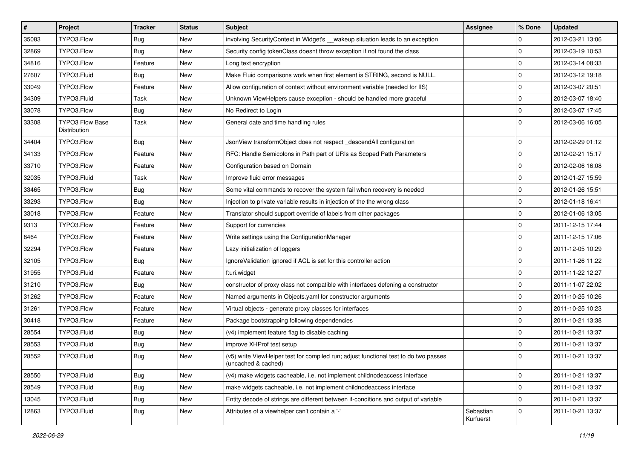| $\vert$ # | Project                                       | <b>Tracker</b> | <b>Status</b> | <b>Subject</b>                                                                                              | <b>Assignee</b>        | % Done      | <b>Updated</b>   |
|-----------|-----------------------------------------------|----------------|---------------|-------------------------------------------------------------------------------------------------------------|------------------------|-------------|------------------|
| 35083     | TYPO3.Flow                                    | <b>Bug</b>     | New           | involving SecurityContext in Widget's __wakeup situation leads to an exception                              |                        | 0           | 2012-03-21 13:06 |
| 32869     | TYPO3.Flow                                    | Bug            | <b>New</b>    | Security config tokenClass doesnt throw exception if not found the class                                    |                        | $\mathbf 0$ | 2012-03-19 10:53 |
| 34816     | TYPO3.Flow                                    | Feature        | New           | Long text encryption                                                                                        |                        | $\mathbf 0$ | 2012-03-14 08:33 |
| 27607     | TYPO3.Fluid                                   | <b>Bug</b>     | New           | Make Fluid comparisons work when first element is STRING, second is NULL.                                   |                        | 0           | 2012-03-12 19:18 |
| 33049     | TYPO3.Flow                                    | Feature        | <b>New</b>    | Allow configuration of context without environment variable (needed for IIS)                                |                        | 0           | 2012-03-07 20:51 |
| 34309     | TYPO3.Fluid                                   | Task           | New           | Unknown ViewHelpers cause exception - should be handled more graceful                                       |                        | $\mathbf 0$ | 2012-03-07 18:40 |
| 33078     | TYPO3.Flow                                    | <b>Bug</b>     | <b>New</b>    | No Redirect to Login                                                                                        |                        | $\mathbf 0$ | 2012-03-07 17:45 |
| 33308     | <b>TYPO3 Flow Base</b><br><b>Distribution</b> | Task           | New           | General date and time handling rules                                                                        |                        | $\mathbf 0$ | 2012-03-06 16:05 |
| 34404     | TYPO3.Flow                                    | <b>Bug</b>     | <b>New</b>    | JsonView transformObject does not respect_descendAll configuration                                          |                        | $\mathbf 0$ | 2012-02-29 01:12 |
| 34133     | TYPO3.Flow                                    | Feature        | New           | RFC: Handle Semicolons in Path part of URIs as Scoped Path Parameters                                       |                        | $\mathbf 0$ | 2012-02-21 15:17 |
| 33710     | TYPO3.Flow                                    | Feature        | New           | Configuration based on Domain                                                                               |                        | 0           | 2012-02-06 16:08 |
| 32035     | TYPO3.Fluid                                   | Task           | <b>New</b>    | Improve fluid error messages                                                                                |                        | $\mathbf 0$ | 2012-01-27 15:59 |
| 33465     | TYPO3.Flow                                    | <b>Bug</b>     | New           | Some vital commands to recover the system fail when recovery is needed                                      |                        | $\mathbf 0$ | 2012-01-26 15:51 |
| 33293     | TYPO3.Flow                                    | <b>Bug</b>     | New           | Injection to private variable results in injection of the the wrong class                                   |                        | $\mathbf 0$ | 2012-01-18 16:41 |
| 33018     | TYPO3.Flow                                    | Feature        | New           | Translator should support override of labels from other packages                                            |                        | 0           | 2012-01-06 13:05 |
| 9313      | TYPO3.Flow                                    | Feature        | New           | Support for currencies                                                                                      |                        | $\mathbf 0$ | 2011-12-15 17:44 |
| 8464      | TYPO3.Flow                                    | Feature        | <b>New</b>    | Write settings using the ConfigurationManager                                                               |                        | $\mathbf 0$ | 2011-12-15 17:06 |
| 32294     | TYPO3.Flow                                    | Feature        | New           | Lazy initialization of loggers                                                                              |                        | $\mathbf 0$ | 2011-12-05 10:29 |
| 32105     | TYPO3.Flow                                    | <b>Bug</b>     | New           | IgnoreValidation ignored if ACL is set for this controller action                                           |                        | $\mathbf 0$ | 2011-11-26 11:22 |
| 31955     | TYPO3.Fluid                                   | Feature        | New           | f:uri.widget                                                                                                |                        | 0           | 2011-11-22 12:27 |
| 31210     | TYPO3.Flow                                    | <b>Bug</b>     | New           | constructor of proxy class not compatible with interfaces defening a constructor                            |                        | 0           | 2011-11-07 22:02 |
| 31262     | TYPO3.Flow                                    | Feature        | <b>New</b>    | Named arguments in Objects.yaml for constructor arguments                                                   |                        | 0           | 2011-10-25 10:26 |
| 31261     | TYPO3.Flow                                    | Feature        | New           | Virtual objects - generate proxy classes for interfaces                                                     |                        | $\mathbf 0$ | 2011-10-25 10:23 |
| 30418     | TYPO3.Flow                                    | Feature        | New           | Package bootstrapping following dependencies                                                                |                        | 0           | 2011-10-21 13:38 |
| 28554     | TYPO3.Fluid                                   | <b>Bug</b>     | New           | (v4) implement feature flag to disable caching                                                              |                        | $\mathbf 0$ | 2011-10-21 13:37 |
| 28553     | TYPO3.Fluid                                   | <b>Bug</b>     | New           | improve XHProf test setup                                                                                   |                        | $\mathbf 0$ | 2011-10-21 13:37 |
| 28552     | TYPO3.Fluid                                   | <b>Bug</b>     | New           | (v5) write ViewHelper test for compiled run; adjust functional test to do two passes<br>(uncached & cached) |                        | $\mathbf 0$ | 2011-10-21 13:37 |
| 28550     | TYPO3.Fluid                                   | <b>Bug</b>     | New           | (v4) make widgets cacheable, i.e. not implement childnodeaccess interface                                   |                        | $\pmb{0}$   | 2011-10-21 13:37 |
| 28549     | TYPO3.Fluid                                   | Bug            | New           | make widgets cacheable, i.e. not implement childnodeaccess interface                                        |                        | 0           | 2011-10-21 13:37 |
| 13045     | TYPO3.Fluid                                   | <b>Bug</b>     | New           | Entity decode of strings are different between if-conditions and output of variable                         |                        | $\mathbf 0$ | 2011-10-21 13:37 |
| 12863     | TYPO3.Fluid                                   | Bug            | New           | Attributes of a viewhelper can't contain a '-'                                                              | Sebastian<br>Kurfuerst | $\mathbf 0$ | 2011-10-21 13:37 |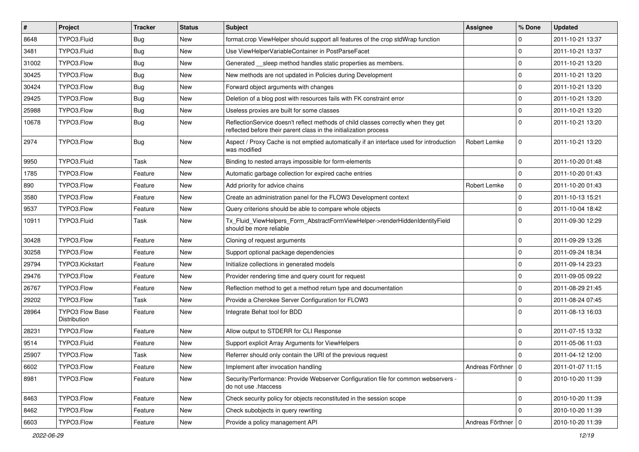| $\vert$ # | Project                                | <b>Tracker</b> | <b>Status</b> | Subject                                                                                                                                                 | Assignee             | % Done      | <b>Updated</b>   |
|-----------|----------------------------------------|----------------|---------------|---------------------------------------------------------------------------------------------------------------------------------------------------------|----------------------|-------------|------------------|
| 8648      | TYPO3.Fluid                            | <b>Bug</b>     | New           | format.crop ViewHelper should support all features of the crop stdWrap function                                                                         |                      | 0           | 2011-10-21 13:37 |
| 3481      | TYPO3.Fluid                            | Bug            | <b>New</b>    | Use ViewHelperVariableContainer in PostParseFacet                                                                                                       |                      | $\mathbf 0$ | 2011-10-21 13:37 |
| 31002     | TYPO3.Flow                             | <b>Bug</b>     | New           | Generated sleep method handles static properties as members.                                                                                            |                      | $\mathbf 0$ | 2011-10-21 13:20 |
| 30425     | TYPO3.Flow                             | <b>Bug</b>     | <b>New</b>    | New methods are not updated in Policies during Development                                                                                              |                      | $\mathbf 0$ | 2011-10-21 13:20 |
| 30424     | TYPO3.Flow                             | Bug            | <b>New</b>    | Forward object arguments with changes                                                                                                                   |                      | $\mathbf 0$ | 2011-10-21 13:20 |
| 29425     | TYPO3.Flow                             | <b>Bug</b>     | New           | Deletion of a blog post with resources fails with FK constraint error                                                                                   |                      | $\mathbf 0$ | 2011-10-21 13:20 |
| 25988     | TYPO3.Flow                             | Bug            | New           | Useless proxies are built for some classes                                                                                                              |                      | $\mathbf 0$ | 2011-10-21 13:20 |
| 10678     | TYPO3.Flow                             | Bug            | New           | ReflectionService doesn't reflect methods of child classes correctly when they get<br>reflected before their parent class in the initialization process |                      | $\Omega$    | 2011-10-21 13:20 |
| 2974      | TYPO3.Flow                             | Bug            | <b>New</b>    | Aspect / Proxy Cache is not emptied automatically if an interface used for introduction<br>was modified                                                 | Robert Lemke         | $\mathbf 0$ | 2011-10-21 13:20 |
| 9950      | TYPO3.Fluid                            | Task           | <b>New</b>    | Binding to nested arrays impossible for form-elements                                                                                                   |                      | $\mathbf 0$ | 2011-10-20 01:48 |
| 1785      | TYPO3.Flow                             | Feature        | <b>New</b>    | Automatic garbage collection for expired cache entries                                                                                                  |                      | $\mathbf 0$ | 2011-10-20 01:43 |
| 890       | TYPO3.Flow                             | Feature        | New           | Add priority for advice chains                                                                                                                          | Robert Lemke         | $\mathbf 0$ | 2011-10-20 01:43 |
| 3580      | TYPO3.Flow                             | Feature        | New           | Create an administration panel for the FLOW3 Development context                                                                                        |                      | $\mathbf 0$ | 2011-10-13 15:21 |
| 9537      | TYPO3.Flow                             | Feature        | <b>New</b>    | Query criterions should be able to compare whole objects                                                                                                |                      | $\mathbf 0$ | 2011-10-04 18:42 |
| 10911     | TYPO3.Fluid                            | Task           | New           | Tx_Fluid_ViewHelpers_Form_AbstractFormViewHelper->renderHiddenIdentityField<br>should be more reliable                                                  |                      | $\Omega$    | 2011-09-30 12:29 |
| 30428     | TYPO3.Flow                             | Feature        | New           | Cloning of request arguments                                                                                                                            |                      | $\mathbf 0$ | 2011-09-29 13:26 |
| 30258     | TYPO3.Flow                             | Feature        | <b>New</b>    | Support optional package dependencies                                                                                                                   |                      | $\mathbf 0$ | 2011-09-24 18:34 |
| 29794     | TYPO3.Kickstart                        | Feature        | <b>New</b>    | Initialize collections in generated models                                                                                                              |                      | $\mathbf 0$ | 2011-09-14 23:23 |
| 29476     | TYPO3.Flow                             | Feature        | New           | Provider rendering time and query count for request                                                                                                     |                      | $\mathbf 0$ | 2011-09-05 09:22 |
| 26767     | TYPO3.Flow                             | Feature        | <b>New</b>    | Reflection method to get a method return type and documentation                                                                                         |                      | $\mathbf 0$ | 2011-08-29 21:45 |
| 29202     | TYPO3.Flow                             | Task           | New           | Provide a Cherokee Server Configuration for FLOW3                                                                                                       |                      | $\mathbf 0$ | 2011-08-24 07:45 |
| 28964     | <b>TYPO3 Flow Base</b><br>Distribution | Feature        | New           | Integrate Behat tool for BDD                                                                                                                            |                      | $\Omega$    | 2011-08-13 16:03 |
| 28231     | TYPO3.Flow                             | Feature        | New           | Allow output to STDERR for CLI Response                                                                                                                 |                      | $\mathbf 0$ | 2011-07-15 13:32 |
| 9514      | TYPO3.Fluid                            | Feature        | New           | Support explicit Array Arguments for ViewHelpers                                                                                                        |                      | $\mathbf 0$ | 2011-05-06 11:03 |
| 25907     | TYPO3.Flow                             | Task           | <b>New</b>    | Referrer should only contain the URI of the previous request                                                                                            |                      | $\mathbf 0$ | 2011-04-12 12:00 |
| 6602      | TYPO3.Flow                             | Feature        | New           | Implement after invocation handling                                                                                                                     | Andreas Förthner   0 |             | 2011-01-07 11:15 |
| 8981      | TYPO3.Flow                             | Feature        | New           | Security/Performance: Provide Webserver Configuration file for common webservers -<br>do not use .htaccess                                              |                      | $\mathbf 0$ | 2010-10-20 11:39 |
| 8463      | TYPO3.Flow                             | Feature        | <b>New</b>    | Check security policy for objects reconstituted in the session scope                                                                                    |                      | $\mathbf 0$ | 2010-10-20 11:39 |
| 8462      | TYPO3.Flow                             | Feature        | New           | Check subobjects in query rewriting                                                                                                                     |                      | $\mathbf 0$ | 2010-10-20 11:39 |
| 6603      | TYPO3.Flow                             | Feature        | New           | Provide a policy management API                                                                                                                         | Andreas Förthner   0 |             | 2010-10-20 11:39 |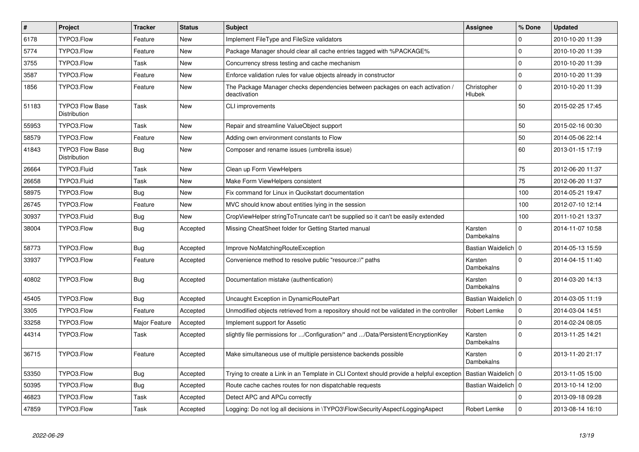| $\vert$ # | Project                                | <b>Tracker</b> | <b>Status</b> | <b>Subject</b>                                                                                | Assignee              | % Done       | <b>Updated</b>   |
|-----------|----------------------------------------|----------------|---------------|-----------------------------------------------------------------------------------------------|-----------------------|--------------|------------------|
| 6178      | TYPO3.Flow                             | Feature        | <b>New</b>    | Implement FileType and FileSize validators                                                    |                       | $\mathbf 0$  | 2010-10-20 11:39 |
| 5774      | TYPO3.Flow                             | Feature        | <b>New</b>    | Package Manager should clear all cache entries tagged with %PACKAGE%                          |                       | $\Omega$     | 2010-10-20 11:39 |
| 3755      | TYPO3.Flow                             | Task           | New           | Concurrency stress testing and cache mechanism                                                |                       | $\mathbf{0}$ | 2010-10-20 11:39 |
| 3587      | TYPO3.Flow                             | Feature        | <b>New</b>    | Enforce validation rules for value objects already in constructor                             |                       | $\mathbf{0}$ | 2010-10-20 11:39 |
| 1856      | TYPO3.Flow                             | Feature        | <b>New</b>    | The Package Manager checks dependencies between packages on each activation /<br>deactivation | Christopher<br>Hlubek | $\Omega$     | 2010-10-20 11:39 |
| 51183     | <b>TYPO3 Flow Base</b><br>Distribution | Task           | New           | CLI improvements                                                                              |                       | 50           | 2015-02-25 17:45 |
| 55953     | TYPO3.Flow                             | Task           | New           | Repair and streamline ValueObject support                                                     |                       | 50           | 2015-02-16 00:30 |
| 58579     | TYPO3.Flow                             | Feature        | New           | Adding own environment constants to Flow                                                      |                       | 50           | 2014-05-06 22:14 |
| 41843     | <b>TYPO3 Flow Base</b><br>Distribution | <b>Bug</b>     | <b>New</b>    | Composer and rename issues (umbrella issue)                                                   |                       | 60           | 2013-01-15 17:19 |
| 26664     | TYPO3.Fluid                            | Task           | <b>New</b>    | Clean up Form ViewHelpers                                                                     |                       | 75           | 2012-06-20 11:37 |
| 26658     | TYPO3.Fluid                            | Task           | <b>New</b>    | Make Form ViewHelpers consistent                                                              |                       | 75           | 2012-06-20 11:37 |
| 58975     | TYPO3.Flow                             | Bug            | New           | Fix command for Linux in Qucikstart documentation                                             |                       | 100          | 2014-05-21 19:47 |
| 26745     | TYPO3.Flow                             | Feature        | New           | MVC should know about entities lying in the session                                           |                       | 100          | 2012-07-10 12:14 |
| 30937     | TYPO3.Fluid                            | Bug            | New           | CropViewHelper stringToTruncate can't be supplied so it can't be easily extended              |                       | 100          | 2011-10-21 13:37 |
| 38004     | TYPO3.Flow                             | Bug            | Accepted      | Missing CheatSheet folder for Getting Started manual                                          | Karsten<br>Dambekalns | $\mathbf{0}$ | 2014-11-07 10:58 |
| 58773     | TYPO3.Flow                             | Bug            | Accepted      | Improve NoMatchingRouteException                                                              | Bastian Waidelich   0 |              | 2014-05-13 15:59 |
| 33937     | TYPO3.Flow                             | Feature        | Accepted      | Convenience method to resolve public "resource://" paths                                      | Karsten<br>Dambekalns | $\Omega$     | 2014-04-15 11:40 |
| 40802     | TYPO3.Flow                             | Bug            | Accepted      | Documentation mistake (authentication)                                                        | Karsten<br>Dambekalns | $\Omega$     | 2014-03-20 14:13 |
| 45405     | TYPO3.Flow                             | <b>Bug</b>     | Accepted      | Uncaught Exception in DynamicRoutePart                                                        | Bastian Waidelich   0 |              | 2014-03-05 11:19 |
| 3305      | TYPO3.Flow                             | Feature        | Accepted      | Unmodified objects retrieved from a repository should not be validated in the controller      | Robert Lemke          | $\mathbf{0}$ | 2014-03-04 14:51 |
| 33258     | TYPO3.Flow                             | Major Feature  | Accepted      | Implement support for Assetic                                                                 |                       | $\mathbf 0$  | 2014-02-24 08:05 |
| 44314     | TYPO3.Flow                             | Task           | Accepted      | slightly file permissions for /Configuration/* and /Data/Persistent/EncryptionKey             | Karsten<br>Dambekalns | $\Omega$     | 2013-11-25 14:21 |
| 36715     | TYPO3.Flow                             | Feature        | Accepted      | Make simultaneous use of multiple persistence backends possible                               | Karsten<br>Dambekalns | $\Omega$     | 2013-11-20 21:17 |
| 53350     | TYPO3.Flow                             | <b>Bug</b>     | Accepted      | Trying to create a Link in an Template in CLI Context should provide a helpful exception      | Bastian Waidelich   0 |              | 2013-11-05 15:00 |
| 50395     | TYPO3.Flow                             | <b>Bug</b>     | Accepted      | Route cache caches routes for non dispatchable requests                                       | Bastian Waidelich   0 |              | 2013-10-14 12:00 |
| 46823     | TYPO3.Flow                             | Task           | Accepted      | Detect APC and APCu correctly                                                                 |                       | $\Omega$     | 2013-09-18 09:28 |
| 47859     | TYPO3.Flow                             | Task           | Accepted      | Logging: Do not log all decisions in \TYPO3\Flow\Security\Aspect\LoggingAspect                | Robert Lemke          | $\mathbf 0$  | 2013-08-14 16:10 |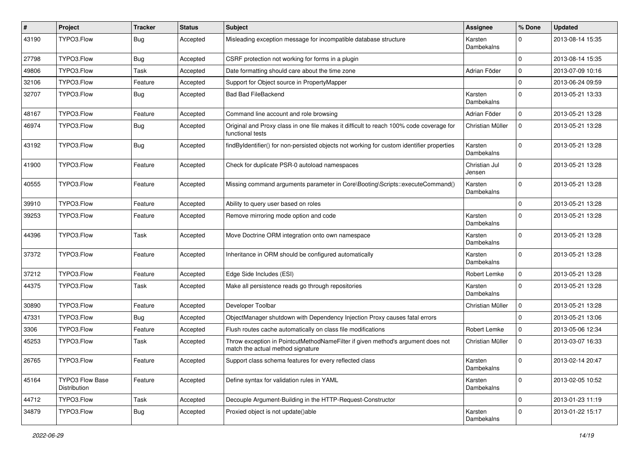| #     | Project                                | <b>Tracker</b> | <b>Status</b> | <b>Subject</b>                                                                                                       | <b>Assignee</b>         | % Done      | <b>Updated</b>   |
|-------|----------------------------------------|----------------|---------------|----------------------------------------------------------------------------------------------------------------------|-------------------------|-------------|------------------|
| 43190 | TYPO3.Flow                             | <b>Bug</b>     | Accepted      | Misleading exception message for incompatible database structure                                                     | Karsten<br>Dambekalns   | $\Omega$    | 2013-08-14 15:35 |
| 27798 | TYPO3.Flow                             | <b>Bug</b>     | Accepted      | CSRF protection not working for forms in a plugin                                                                    |                         | $\Omega$    | 2013-08-14 15:35 |
| 49806 | TYPO3.Flow                             | Task           | Accepted      | Date formatting should care about the time zone                                                                      | Adrian Föder            | $\mathbf 0$ | 2013-07-09 10:16 |
| 32106 | TYPO3.Flow                             | Feature        | Accepted      | Support for Object source in PropertyMapper                                                                          |                         | $\Omega$    | 2013-06-24 09:59 |
| 32707 | TYPO3.Flow                             | Bug            | Accepted      | <b>Bad Bad FileBackend</b>                                                                                           | Karsten<br>Dambekalns   | $\Omega$    | 2013-05-21 13:33 |
| 48167 | TYPO3.Flow                             | Feature        | Accepted      | Command line account and role browsing                                                                               | Adrian Föder            | $\mathbf 0$ | 2013-05-21 13:28 |
| 46974 | TYPO3.Flow                             | <b>Bug</b>     | Accepted      | Original and Proxy class in one file makes it difficult to reach 100% code coverage for<br>functional tests          | Christian Müller        | $\Omega$    | 2013-05-21 13:28 |
| 43192 | TYPO3.Flow                             | Bug            | Accepted      | findByIdentifier() for non-persisted objects not working for custom identifier properties                            | Karsten<br>Dambekalns   | $\Omega$    | 2013-05-21 13:28 |
| 41900 | TYPO3.Flow                             | Feature        | Accepted      | Check for duplicate PSR-0 autoload namespaces                                                                        | Christian Jul<br>Jensen | $\Omega$    | 2013-05-21 13:28 |
| 40555 | TYPO3.Flow                             | Feature        | Accepted      | Missing command arguments parameter in Core\Booting\Scripts::executeCommand()                                        | Karsten<br>Dambekalns   | $\Omega$    | 2013-05-21 13:28 |
| 39910 | TYPO3.Flow                             | Feature        | Accepted      | Ability to query user based on roles                                                                                 |                         | $\Omega$    | 2013-05-21 13:28 |
| 39253 | TYPO3.Flow                             | Feature        | Accepted      | Remove mirroring mode option and code                                                                                | Karsten<br>Dambekalns   | $\Omega$    | 2013-05-21 13:28 |
| 44396 | TYPO3.Flow                             | Task           | Accepted      | Move Doctrine ORM integration onto own namespace                                                                     | Karsten<br>Dambekalns   | $\Omega$    | 2013-05-21 13:28 |
| 37372 | TYPO3.Flow                             | Feature        | Accepted      | Inheritance in ORM should be configured automatically                                                                | Karsten<br>Dambekalns   | $\Omega$    | 2013-05-21 13:28 |
| 37212 | TYPO3.Flow                             | Feature        | Accepted      | Edge Side Includes (ESI)                                                                                             | Robert Lemke            | $\mathbf 0$ | 2013-05-21 13:28 |
| 44375 | TYPO3.Flow                             | Task           | Accepted      | Make all persistence reads go through repositories                                                                   | Karsten<br>Dambekalns   | $\Omega$    | 2013-05-21 13:28 |
| 30890 | TYPO3.Flow                             | Feature        | Accepted      | Developer Toolbar                                                                                                    | Christian Müller        | $\mathbf 0$ | 2013-05-21 13:28 |
| 47331 | TYPO3.Flow                             | <b>Bug</b>     | Accepted      | ObjectManager shutdown with Dependency Injection Proxy causes fatal errors                                           |                         | $\Omega$    | 2013-05-21 13:06 |
| 3306  | TYPO3.Flow                             | Feature        | Accepted      | Flush routes cache automatically on class file modifications                                                         | Robert Lemke            | $\mathbf 0$ | 2013-05-06 12:34 |
| 45253 | TYPO3.Flow                             | Task           | Accepted      | Throw exception in PointcutMethodNameFilter if given method's argument does not<br>match the actual method signature | Christian Müller        | $\mathbf 0$ | 2013-03-07 16:33 |
| 26765 | TYPO3.Flow                             | Feature        | Accepted      | Support class schema features for every reflected class                                                              | Karsten<br>Dambekalns   | 0           | 2013-02-14 20:47 |
| 45164 | <b>TYPO3 Flow Base</b><br>Distribution | Feature        | Accepted      | Define syntax for validation rules in YAML                                                                           | Karsten<br>Dambekalns   | $\mathbf 0$ | 2013-02-05 10:52 |
| 44712 | TYPO3.Flow                             | Task           | Accepted      | Decouple Argument-Building in the HTTP-Request-Constructor                                                           |                         | $\mathbf 0$ | 2013-01-23 11:19 |
| 34879 | TYPO3.Flow                             | <b>Bug</b>     | Accepted      | Proxied object is not update()able                                                                                   | Karsten<br>Dambekalns   | $\Omega$    | 2013-01-22 15:17 |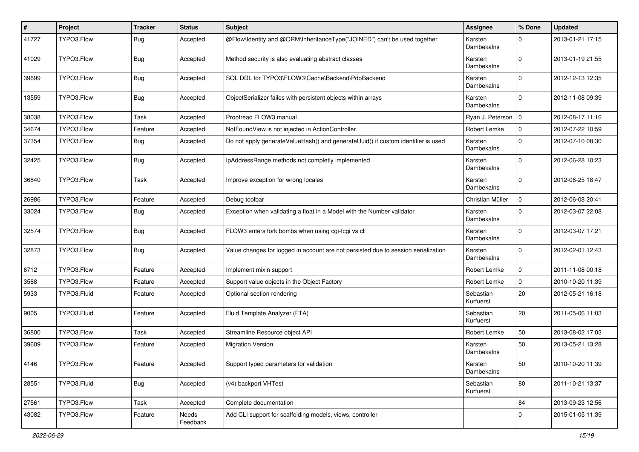| #     | Project     | <b>Tracker</b> | <b>Status</b>     | <b>Subject</b>                                                                     | Assignee               | % Done       | <b>Updated</b>   |
|-------|-------------|----------------|-------------------|------------------------------------------------------------------------------------|------------------------|--------------|------------------|
| 41727 | TYPO3.Flow  | Bug            | Accepted          | @Flow\Identity and @ORM\InheritanceType("JOINED") can't be used together           | Karsten<br>Dambekalns  | $\Omega$     | 2013-01-21 17:15 |
| 41029 | TYPO3.Flow  | Bug            | Accepted          | Method security is also evaluating abstract classes                                | Karsten<br>Dambekalns  | $\Omega$     | 2013-01-19 21:55 |
| 39699 | TYPO3.Flow  | Bug            | Accepted          | SQL DDL for TYPO3\FLOW3\Cache\Backend\PdoBackend                                   | Karsten<br>Dambekalns  | $\mathbf 0$  | 2012-12-13 12:35 |
| 13559 | TYPO3.Flow  | Bug            | Accepted          | ObjectSerializer failes with persistent objects within arrays                      | Karsten<br>Dambekalns  | $\mathbf{0}$ | 2012-11-08 09:39 |
| 38038 | TYPO3.Flow  | Task           | Accepted          | Proofread FLOW3 manual                                                             | Ryan J. Peterson   0   |              | 2012-08-17 11:16 |
| 34674 | TYPO3.Flow  | Feature        | Accepted          | NotFoundView is not injected in ActionController                                   | Robert Lemke           | $\mathbf 0$  | 2012-07-22 10:59 |
| 37354 | TYPO3.Flow  | Bug            | Accepted          | Do not apply generateValueHash() and generateUuid() if custom identifier is used   | Karsten<br>Dambekalns  | $\mathbf{0}$ | 2012-07-10 08:30 |
| 32425 | TYPO3.Flow  | Bug            | Accepted          | IpAddressRange methods not completly implemented                                   | Karsten<br>Dambekalns  | $\mathbf 0$  | 2012-06-28 10:23 |
| 36840 | TYPO3.Flow  | Task           | Accepted          | Improve exception for wrong locales                                                | Karsten<br>Dambekalns  | $\mathbf 0$  | 2012-06-25 18:47 |
| 26986 | TYPO3.Flow  | Feature        | Accepted          | Debug toolbar                                                                      | Christian Müller       | $\mathbf 0$  | 2012-06-08 20:41 |
| 33024 | TYPO3.Flow  | <b>Bug</b>     | Accepted          | Exception when validating a float in a Model with the Number validator             | Karsten<br>Dambekalns  | $\Omega$     | 2012-03-07 22:08 |
| 32574 | TYPO3.Flow  | Bug            | Accepted          | FLOW3 enters fork bombs when using cgi-fcgi vs cli                                 | Karsten<br>Dambekalns  | $\mathbf{0}$ | 2012-03-07 17:21 |
| 32873 | TYPO3.Flow  | Bug            | Accepted          | Value changes for logged in account are not persisted due to session serialization | Karsten<br>Dambekalns  | $\mathbf 0$  | 2012-02-01 12:43 |
| 6712  | TYPO3.Flow  | Feature        | Accepted          | Implement mixin support                                                            | Robert Lemke           | $\mathbf 0$  | 2011-11-08 00:18 |
| 3588  | TYPO3.Flow  | Feature        | Accepted          | Support value objects in the Object Factory                                        | Robert Lemke           | $\mathbf 0$  | 2010-10-20 11:39 |
| 5933  | TYPO3.Fluid | Feature        | Accepted          | Optional section rendering                                                         | Sebastian<br>Kurfuerst | 20           | 2012-05-21 16:18 |
| 9005  | TYPO3.Fluid | Feature        | Accepted          | Fluid Template Analyzer (FTA)                                                      | Sebastian<br>Kurfuerst | 20           | 2011-05-06 11:03 |
| 36800 | TYPO3.Flow  | Task           | Accepted          | Streamline Resource object API                                                     | Robert Lemke           | 50           | 2013-08-02 17:03 |
| 39609 | TYPO3.Flow  | Feature        | Accepted          | <b>Migration Version</b>                                                           | Karsten<br>Dambekalns  | 50           | 2013-05-21 13:28 |
| 4146  | TYPO3.Flow  | Feature        | Accepted          | Support typed parameters for validation                                            | Karsten<br>Dambekalns  | 50           | 2010-10-20 11:39 |
| 28551 | TYPO3.Fluid | <b>Bug</b>     | Accepted          | (v4) backport VHTest                                                               | Sebastian<br>Kurfuerst | 80           | 2011-10-21 13:37 |
| 27561 | TYPO3.Flow  | Task           | Accepted          | Complete documentation                                                             |                        | 84           | 2013-09-23 12:56 |
| 43082 | TYPO3.Flow  | Feature        | Needs<br>Feedback | Add CLI support for scaffolding models, views, controller                          |                        | $\mathbf{0}$ | 2015-01-05 11:39 |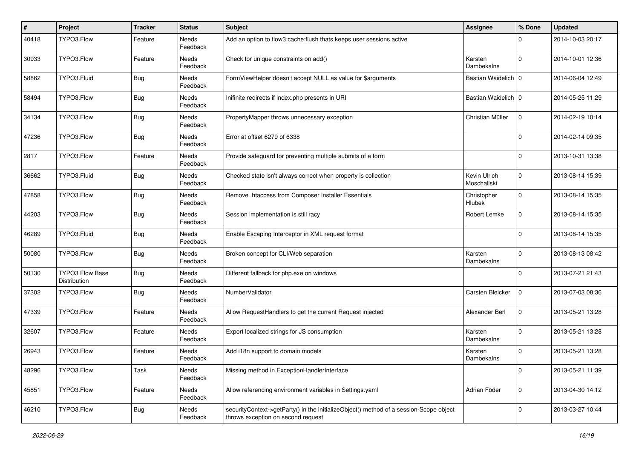| $\vert$ # | Project                                | <b>Tracker</b> | <b>Status</b>            | <b>Subject</b>                                                                                                               | <b>Assignee</b>             | % Done      | <b>Updated</b>   |
|-----------|----------------------------------------|----------------|--------------------------|------------------------------------------------------------------------------------------------------------------------------|-----------------------------|-------------|------------------|
| 40418     | TYPO3.Flow                             | Feature        | Needs<br>Feedback        | Add an option to flow3:cache: flush thats keeps user sessions active                                                         |                             | 0           | 2014-10-03 20:17 |
| 30933     | TYPO3.Flow                             | Feature        | Needs<br>Feedback        | Check for unique constraints on add()                                                                                        | Karsten<br>Dambekalns       | $\Omega$    | 2014-10-01 12:36 |
| 58862     | TYPO3.Fluid                            | Bug            | Needs<br>Feedback        | FormViewHelper doesn't accept NULL as value for \$arguments                                                                  | Bastian Waidelich   0       |             | 2014-06-04 12:49 |
| 58494     | TYPO3.Flow                             | Bug            | Needs<br>Feedback        | Inifinite redirects if index.php presents in URI                                                                             | Bastian Waidelich   0       |             | 2014-05-25 11:29 |
| 34134     | TYPO3.Flow                             | <b>Bug</b>     | Needs<br>Feedback        | PropertyMapper throws unnecessary exception                                                                                  | Christian Müller            | 0           | 2014-02-19 10:14 |
| 47236     | TYPO3.Flow                             | Bug            | Needs<br>Feedback        | Error at offset 6279 of 6338                                                                                                 |                             | $\Omega$    | 2014-02-14 09:35 |
| 2817      | TYPO3.Flow                             | Feature        | <b>Needs</b><br>Feedback | Provide safeguard for preventing multiple submits of a form                                                                  |                             | $\Omega$    | 2013-10-31 13:38 |
| 36662     | TYPO3.Fluid                            | Bug            | Needs<br>Feedback        | Checked state isn't always correct when property is collection                                                               | Kevin Ulrich<br>Moschallski | $\mathbf 0$ | 2013-08-14 15:39 |
| 47858     | TYPO3.Flow                             | Bug            | Needs<br>Feedback        | Remove .htaccess from Composer Installer Essentials                                                                          | Christopher<br>Hlubek       | $\mathbf 0$ | 2013-08-14 15:35 |
| 44203     | TYPO3.Flow                             | Bug            | Needs<br>Feedback        | Session implementation is still racy                                                                                         | Robert Lemke                | $\mathbf 0$ | 2013-08-14 15:35 |
| 46289     | TYPO3.Fluid                            | <b>Bug</b>     | Needs<br>Feedback        | Enable Escaping Interceptor in XML request format                                                                            |                             | $\Omega$    | 2013-08-14 15:35 |
| 50080     | TYPO3.Flow                             | <b>Bug</b>     | Needs<br>Feedback        | Broken concept for CLI/Web separation                                                                                        | Karsten<br>Dambekalns       | $\Omega$    | 2013-08-13 08:42 |
| 50130     | <b>TYPO3 Flow Base</b><br>Distribution | Bug            | Needs<br>Feedback        | Different fallback for php.exe on windows                                                                                    |                             | $\Omega$    | 2013-07-21 21:43 |
| 37302     | TYPO3.Flow                             | Bug            | Needs<br>Feedback        | NumberValidator                                                                                                              | Carsten Bleicker            | $\mathbf 0$ | 2013-07-03 08:36 |
| 47339     | TYPO3.Flow                             | Feature        | <b>Needs</b><br>Feedback | Allow RequestHandlers to get the current Request injected                                                                    | Alexander Berl              | $\mathbf 0$ | 2013-05-21 13:28 |
| 32607     | TYPO3.Flow                             | Feature        | Needs<br>Feedback        | Export localized strings for JS consumption                                                                                  | Karsten<br>Dambekalns       | $\Omega$    | 2013-05-21 13:28 |
| 26943     | TYPO3.Flow                             | Feature        | Needs<br>Feedback        | Add i18n support to domain models                                                                                            | Karsten<br>Dambekalns       | $\Omega$    | 2013-05-21 13:28 |
| 48296     | TYPO3.Flow                             | Task           | Needs<br>Feedback        | Missing method in ExceptionHandlerInterface                                                                                  |                             | $\mathbf 0$ | 2013-05-21 11:39 |
| 45851     | TYPO3.Flow                             | Feature        | Needs<br>Feedback        | Allow referencing environment variables in Settings.yaml                                                                     | Adrian Föder                | $\mathbf 0$ | 2013-04-30 14:12 |
| 46210     | TYPO3.Flow                             | <b>Bug</b>     | Needs<br>Feedback        | securityContext->getParty() in the initializeObject() method of a session-Scope object<br>throws exception on second request |                             | $\mathbf 0$ | 2013-03-27 10:44 |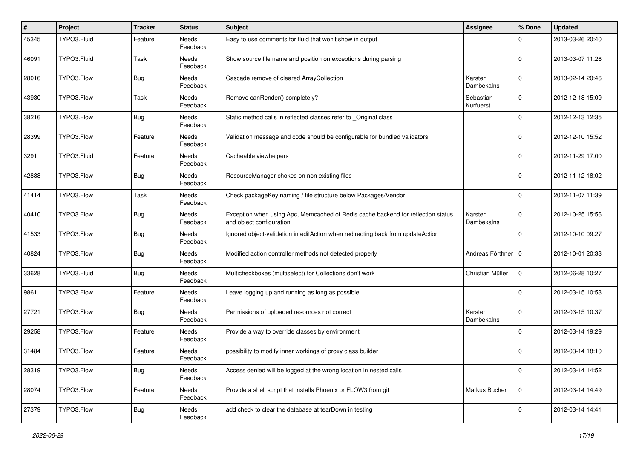| $\vert$ # | Project     | <b>Tracker</b> | <b>Status</b>            | <b>Subject</b>                                                                                               | <b>Assignee</b>        | % Done      | <b>Updated</b>   |
|-----------|-------------|----------------|--------------------------|--------------------------------------------------------------------------------------------------------------|------------------------|-------------|------------------|
| 45345     | TYPO3.Fluid | Feature        | Needs<br>Feedback        | Easy to use comments for fluid that won't show in output                                                     |                        | 0           | 2013-03-26 20:40 |
| 46091     | TYPO3.Fluid | Task           | Needs<br>Feedback        | Show source file name and position on exceptions during parsing                                              |                        | $\Omega$    | 2013-03-07 11:26 |
| 28016     | TYPO3.Flow  | Bug            | Needs<br>Feedback        | Cascade remove of cleared ArrayCollection                                                                    | Karsten<br>Dambekalns  | $\mathbf 0$ | 2013-02-14 20:46 |
| 43930     | TYPO3.Flow  | Task           | Needs<br>Feedback        | Remove canRender() completely?!                                                                              | Sebastian<br>Kurfuerst | $\Omega$    | 2012-12-18 15:09 |
| 38216     | TYPO3.Flow  | <b>Bug</b>     | Needs<br>Feedback        | Static method calls in reflected classes refer to _Original class                                            |                        | $\Omega$    | 2012-12-13 12:35 |
| 28399     | TYPO3.Flow  | Feature        | Needs<br>Feedback        | Validation message and code should be configurable for bundled validators                                    |                        | $\Omega$    | 2012-12-10 15:52 |
| 3291      | TYPO3.Fluid | Feature        | <b>Needs</b><br>Feedback | Cacheable viewhelpers                                                                                        |                        | $\Omega$    | 2012-11-29 17:00 |
| 42888     | TYPO3.Flow  | Bug            | Needs<br>Feedback        | ResourceManager chokes on non existing files                                                                 |                        | $\Omega$    | 2012-11-12 18:02 |
| 41414     | TYPO3.Flow  | Task           | Needs<br>Feedback        | Check packageKey naming / file structure below Packages/Vendor                                               |                        | $\Omega$    | 2012-11-07 11:39 |
| 40410     | TYPO3.Flow  | Bug            | Needs<br>Feedback        | Exception when using Apc, Memcached of Redis cache backend for reflection status<br>and object configuration | Karsten<br>Dambekalns  | $\Omega$    | 2012-10-25 15:56 |
| 41533     | TYPO3.Flow  | <b>Bug</b>     | <b>Needs</b><br>Feedback | Ignored object-validation in editAction when redirecting back from updateAction                              |                        | $\Omega$    | 2012-10-10 09:27 |
| 40824     | TYPO3.Flow  | <b>Bug</b>     | Needs<br>Feedback        | Modified action controller methods not detected properly                                                     | Andreas Förthner   0   |             | 2012-10-01 20:33 |
| 33628     | TYPO3.Fluid | Bug            | Needs<br>Feedback        | Multicheckboxes (multiselect) for Collections don't work                                                     | Christian Müller       | $\mathbf 0$ | 2012-06-28 10:27 |
| 9861      | TYPO3.Flow  | Feature        | Needs<br>Feedback        | Leave logging up and running as long as possible                                                             |                        | $\Omega$    | 2012-03-15 10:53 |
| 27721     | TYPO3.Flow  | <b>Bug</b>     | Needs<br>Feedback        | Permissions of uploaded resources not correct                                                                | Karsten<br>Dambekalns  | 0           | 2012-03-15 10:37 |
| 29258     | TYPO3.Flow  | Feature        | Needs<br>Feedback        | Provide a way to override classes by environment                                                             |                        | $\Omega$    | 2012-03-14 19:29 |
| 31484     | TYPO3.Flow  | Feature        | Needs<br>Feedback        | possibility to modify inner workings of proxy class builder                                                  |                        | $\Omega$    | 2012-03-14 18:10 |
| 28319     | TYPO3.Flow  | <b>Bug</b>     | Needs<br>Feedback        | Access denied will be logged at the wrong location in nested calls                                           |                        | $\mathbf 0$ | 2012-03-14 14:52 |
| 28074     | TYPO3.Flow  | Feature        | Needs<br>Feedback        | Provide a shell script that installs Phoenix or FLOW3 from git                                               | Markus Bucher          | $\mathbf 0$ | 2012-03-14 14:49 |
| 27379     | TYPO3.Flow  | Bug            | Needs<br>Feedback        | add check to clear the database at tearDown in testing                                                       |                        | $\mathbf 0$ | 2012-03-14 14:41 |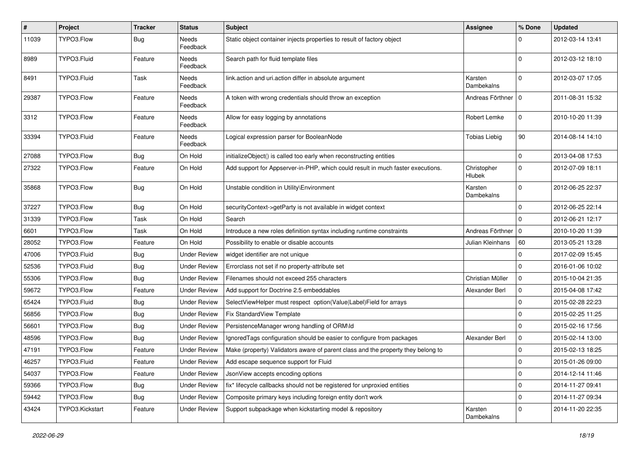| #     | Project         | <b>Tracker</b> | <b>Status</b>            | Subject                                                                          | Assignee                     | % Done      | <b>Updated</b>   |
|-------|-----------------|----------------|--------------------------|----------------------------------------------------------------------------------|------------------------------|-------------|------------------|
| 11039 | TYPO3.Flow      | <b>Bug</b>     | <b>Needs</b><br>Feedback | Static object container injects properties to result of factory object           |                              | $\Omega$    | 2012-03-14 13:41 |
| 8989  | TYPO3.Fluid     | Feature        | Needs<br>Feedback        | Search path for fluid template files                                             |                              | $\Omega$    | 2012-03-12 18:10 |
| 8491  | TYPO3.Fluid     | Task           | Needs<br>Feedback        | link.action and uri.action differ in absolute argument                           | Karsten<br>Dambekalns        | $\Omega$    | 2012-03-07 17:05 |
| 29387 | TYPO3.Flow      | Feature        | Needs<br>Feedback        | A token with wrong credentials should throw an exception                         | Andreas Förthner   0         |             | 2011-08-31 15:32 |
| 3312  | TYPO3.Flow      | Feature        | Needs<br>Feedback        | Allow for easy logging by annotations                                            | Robert Lemke                 | $\mathbf 0$ | 2010-10-20 11:39 |
| 33394 | TYPO3.Fluid     | Feature        | Needs<br>Feedback        | Logical expression parser for BooleanNode                                        | <b>Tobias Liebig</b>         | 90          | 2014-08-14 14:10 |
| 27088 | TYPO3.Flow      | Bug            | On Hold                  | initializeObject() is called too early when reconstructing entities              |                              | $\mathbf 0$ | 2013-04-08 17:53 |
| 27322 | TYPO3.Flow      | Feature        | On Hold                  | Add support for Appserver-in-PHP, which could result in much faster executions.  | Christopher<br><b>Hlubek</b> | $\mathbf 0$ | 2012-07-09 18:11 |
| 35868 | TYPO3.Flow      | Bug            | On Hold                  | Unstable condition in Utility\Environment                                        | Karsten<br>Dambekalns        | $\Omega$    | 2012-06-25 22:37 |
| 37227 | TYPO3.Flow      | Bug            | On Hold                  | securityContext->getParty is not available in widget context                     |                              | $\Omega$    | 2012-06-25 22:14 |
| 31339 | TYPO3.Flow      | Task           | On Hold                  | Search                                                                           |                              | $\Omega$    | 2012-06-21 12:17 |
| 6601  | TYPO3.Flow      | Task           | On Hold                  | Introduce a new roles definition syntax including runtime constraints            | Andreas Förthner             | $\mathbf 0$ | 2010-10-20 11:39 |
| 28052 | TYPO3.Flow      | Feature        | On Hold                  | Possibility to enable or disable accounts                                        | Julian Kleinhans             | 60          | 2013-05-21 13:28 |
| 47006 | TYPO3.Fluid     | <b>Bug</b>     | Under Review             | widget identifier are not unique                                                 |                              | $\Omega$    | 2017-02-09 15:45 |
| 52536 | TYPO3.Fluid     | Bug            | <b>Under Review</b>      | Errorclass not set if no property-attribute set                                  |                              | $\Omega$    | 2016-01-06 10:02 |
| 55306 | TYPO3.Flow      | Bug            | <b>Under Review</b>      | Filenames should not exceed 255 characters                                       | Christian Müller             | $\mathbf 0$ | 2015-10-04 21:35 |
| 59672 | TYPO3.Flow      | Feature        | <b>Under Review</b>      | Add support for Doctrine 2.5 embeddables                                         | Alexander Berl               | $\mathbf 0$ | 2015-04-08 17:42 |
| 65424 | TYPO3.Fluid     | <b>Bug</b>     | <b>Under Review</b>      | SelectViewHelper must respect option(Value Label)Field for arrays                |                              | $\mathbf 0$ | 2015-02-28 22:23 |
| 56856 | TYPO3.Flow      | Bug            | <b>Under Review</b>      | Fix StandardView Template                                                        |                              | $\mathbf 0$ | 2015-02-25 11:25 |
| 56601 | TYPO3.Flow      | Bug            | <b>Under Review</b>      | PersistenceManager wrong handling of ORM\ld                                      |                              | $\Omega$    | 2015-02-16 17:56 |
| 48596 | TYPO3.Flow      | Bug            | <b>Under Review</b>      | IgnoredTags configuration should be easier to configure from packages            | Alexander Berl               | $\mathbf 0$ | 2015-02-14 13:00 |
| 47191 | TYPO3.Flow      | Feature        | Under Review             | Make (property) Validators aware of parent class and the property they belong to |                              | $\mathbf 0$ | 2015-02-13 18:25 |
| 46257 | TYPO3.Fluid     | Feature        |                          | Under Review   Add escape sequence support for Fluid                             |                              | 0           | 2015-01-26 09:00 |
| 54037 | TYPO3.Flow      | Feature        | <b>Under Review</b>      | JsonView accepts encoding options                                                |                              | $\mathbf 0$ | 2014-12-14 11:46 |
| 59366 | TYPO3.Flow      | <b>Bug</b>     | <b>Under Review</b>      | fix* lifecycle callbacks should not be registered for unproxied entities         |                              | $\pmb{0}$   | 2014-11-27 09:41 |
| 59442 | TYPO3.Flow      | <b>Bug</b>     | <b>Under Review</b>      | Composite primary keys including foreign entity don't work                       |                              | $\mathbf 0$ | 2014-11-27 09:34 |
| 43424 | TYPO3.Kickstart | Feature        | <b>Under Review</b>      | Support subpackage when kickstarting model & repository                          | Karsten<br>Dambekalns        | $\mathbf 0$ | 2014-11-20 22:35 |